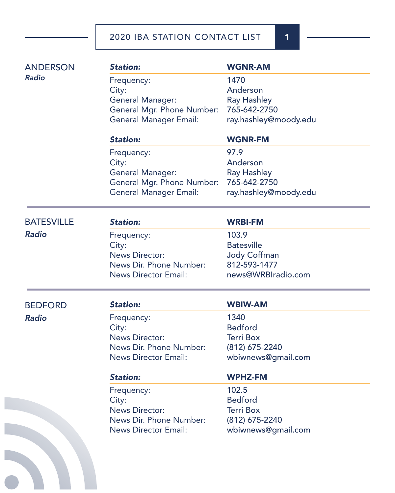| <b>ANDERSON</b>   | <b>Station:</b>                                | <b>WGNR-AM</b>                     |
|-------------------|------------------------------------------------|------------------------------------|
| <b>Radio</b>      | Frequency:                                     | 1470                               |
|                   | City:                                          | Anderson                           |
|                   | <b>General Manager:</b>                        | <b>Ray Hashley</b>                 |
|                   | General Mgr. Phone Number:                     | 765-642-2750                       |
|                   | <b>General Manager Email:</b>                  | ray.hashley@moody.edu              |
|                   | <b>Station:</b>                                | <b>WGNR-FM</b>                     |
|                   | Frequency:                                     | 97.9                               |
|                   | City:                                          | Anderson                           |
|                   | General Manager:<br>General Mgr. Phone Number: | <b>Ray Hashley</b><br>765-642-2750 |
|                   | <b>General Manager Email:</b>                  | ray.hashley@moody.edu              |
|                   |                                                |                                    |
| <b>BATESVILLE</b> | <b>Station:</b>                                | <b>WRBI-FM</b>                     |
| <b>Radio</b>      | Frequency:                                     | 103.9                              |
|                   | City:                                          | <b>Batesville</b>                  |
|                   | <b>News Director:</b>                          | <b>Jody Coffman</b>                |
|                   | News Dir. Phone Number:                        | 812-593-1477                       |
|                   | <b>News Director Email:</b>                    | news@WRBIradio.com                 |
| <b>BEDFORD</b>    | <b>Station:</b>                                | <b>WBIW-AM</b>                     |
| <b>Radio</b>      | Frequency:                                     | 1340                               |
|                   | City:                                          | <b>Bedford</b>                     |
|                   | <b>News Director:</b>                          | <b>Terri Box</b>                   |
|                   | News Dir. Phone Number:                        | (812) 675-2240                     |
|                   | <b>News Director Email:</b>                    | wbiwnews@gmail.com                 |
|                   | <b>Station:</b>                                | <b>WPHZ-FM</b>                     |
|                   | Frequency:                                     | 102.5                              |
|                   | City:                                          | <b>Bedford</b>                     |
|                   | <b>News Director:</b>                          | <b>Terri Box</b>                   |
|                   | News Dir. Phone Number:                        | (812) 675-2240                     |
|                   | <b>News Director Email:</b>                    | wbiwnews@gmail.com                 |
|                   |                                                |                                    |
|                   |                                                |                                    |
|                   |                                                |                                    |

e.

r.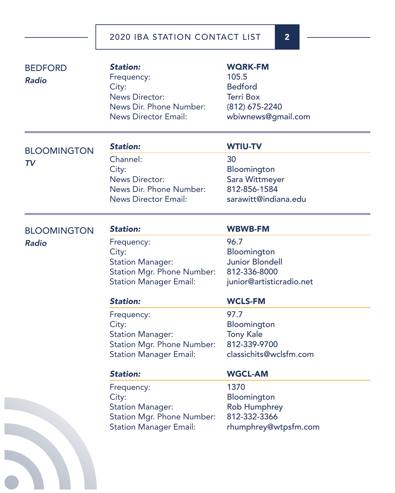| <b>BEDFORD</b><br><b>Radio</b> | <b>Station:</b><br>Frequency:<br>City:<br><b>News Director:</b><br>News Dir. Phone Number:<br><b>News Director Email:</b> | <b>WQRK-FM</b><br>105.5<br><b>Bedford</b><br><b>Terri Box</b><br>(812) 675-2240<br>wbiwnews@gmail.com |
|--------------------------------|---------------------------------------------------------------------------------------------------------------------------|-------------------------------------------------------------------------------------------------------|
| <b>BLOOMINGTON</b>             | <b>Station:</b>                                                                                                           | <b>WTIU-TV</b>                                                                                        |
| <b>TV</b>                      | Channel:<br>City:<br><b>News Director:</b><br>News Dir. Phone Number:<br><b>News Director Email:</b>                      | 30<br>Bloomington<br>Sara Wittmeyer<br>812-856-1584<br>sarawitt@indiana.edu                           |
| <b>BLOOMINGTON</b>             | <b>Station:</b>                                                                                                           | <b>WBWB-FM</b>                                                                                        |
| <b>Radio</b>                   | Frequency:<br>City:<br><b>Station Manager:</b><br><b>Station Mgr. Phone Number:</b><br><b>Station Manager Email:</b>      | 96.7<br>Bloomington<br><b>Junior Blondell</b><br>812-336-8000<br>junior@artisticradio.net             |
|                                | <b>Station:</b>                                                                                                           | <b>WCLS-FM</b>                                                                                        |
|                                | Frequency:<br>City:<br><b>Station Manager:</b><br><b>Station Mgr. Phone Number:</b><br><b>Station Manager Email:</b>      | 97.7<br>Bloomington<br><b>Tony Kale</b><br>812-339-9700<br>classichits@wclsfm.com                     |
|                                | <b>Station:</b>                                                                                                           | <b>WGCL-AM</b>                                                                                        |
|                                | Frequency:<br>City:<br><b>Station Manager:</b><br><b>Station Mgr. Phone Number:</b><br><b>Station Manager Email:</b>      | 1370<br>Bloomington<br><b>Rob Humphrey</b><br>812-332-3366<br>rhumphrey@wtpsfm.com                    |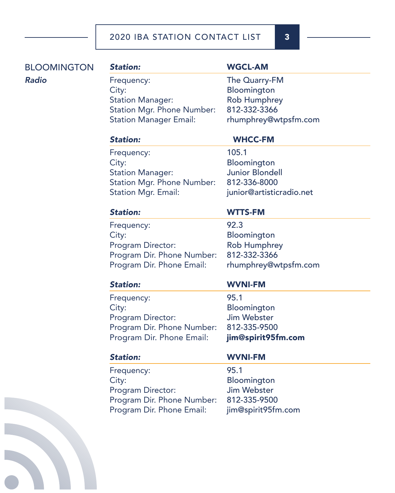# BLOOMINGTON *Radio*

### *Station:* WGCL-AM

Frequency: The Quarry-FM City: Bloomington Station Manager: Rob Humphrey Station Mgr. Phone Number: 812-332-3366 Station Manager Email: rhumphrey@wtpsfm.com

# *Station:* WHCC-FM

Frequency: 105.1 City: Bloomington Station Manager: **Junior Blondell** Station Mgr. Phone Number: 812-336-8000 Station Mgr. Email: junior@artisticradio.net

# *Station:* WTTS-FM

Frequency: 92.3 City: Bloomington Program Director: Rob Humphrey Program Dir. Phone Number: 812-332-3366 Program Dir. Phone Email: rhumphrey@wtpsfm.com

Frequency: 95.1 City: Bloomington Program Director: Jim Webster Program Dir. Phone Number: 812-335-9500 Program Dir. Phone Email: jim@spirit95fm.com

# *Station:* WVNI-FM

Frequency: 95.1 City: Bloomington Program Director: Jim Webster Program Dir. Phone Number: 812-335-9500

### *Station:* WVNI-FM

Program Dir. Phone Email: jim@spirit95fm.com

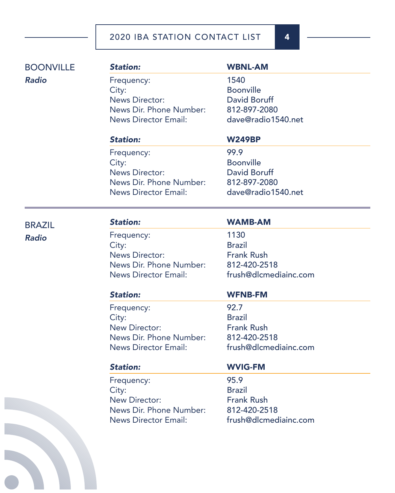| <b>BOONVILLE</b> | <b>Station:</b>             | <b>WBNL-AM</b>        |  |
|------------------|-----------------------------|-----------------------|--|
| <b>Radio</b>     | Frequency:                  | 1540                  |  |
|                  | City:                       | <b>Boonville</b>      |  |
|                  | <b>News Director:</b>       | <b>David Boruff</b>   |  |
|                  | News Dir. Phone Number:     | 812-897-2080          |  |
|                  | <b>News Director Email:</b> | dave@radio1540.net    |  |
|                  | <b>Station:</b>             | <b>W249BP</b>         |  |
|                  | Frequency:                  | 99.9                  |  |
|                  | City:                       | <b>Boonville</b>      |  |
|                  | <b>News Director:</b>       | <b>David Boruff</b>   |  |
|                  | News Dir. Phone Number:     | 812-897-2080          |  |
|                  | <b>News Director Email:</b> | dave@radio1540.net    |  |
| <b>BRAZIL</b>    | <b>Station:</b>             | <b>WAMB-AM</b>        |  |
| <b>Radio</b>     | Frequency:                  | 1130                  |  |
|                  | City:                       | <b>Brazil</b>         |  |
|                  | <b>News Director:</b>       | <b>Frank Rush</b>     |  |
|                  | News Dir. Phone Number:     | 812-420-2518          |  |
|                  | <b>News Director Email:</b> | frush@dlcmediainc.com |  |
|                  | <b>Station:</b>             | <b>WFNB-FM</b>        |  |
|                  | Frequency:                  | 92.7                  |  |
|                  | City:                       | <b>Brazil</b>         |  |
|                  | New Director:               | <b>Frank Rush</b>     |  |
|                  | News Dir. Phone Number:     | 812-420-2518          |  |
|                  | <b>News Director Email:</b> | frush@dlcmediainc.com |  |
|                  | <b>Station:</b>             | <b>WVIG-FM</b>        |  |
|                  | Frequency:                  | 95.9                  |  |
|                  | City:                       | <b>Brazil</b>         |  |
|                  | New Director:               | <b>Frank Rush</b>     |  |
|                  | News Dir. Phone Number:     | 812-420-2518          |  |
|                  | <b>News Director Email:</b> | frush@dlcmediainc.com |  |
|                  |                             |                       |  |
|                  |                             |                       |  |
|                  |                             |                       |  |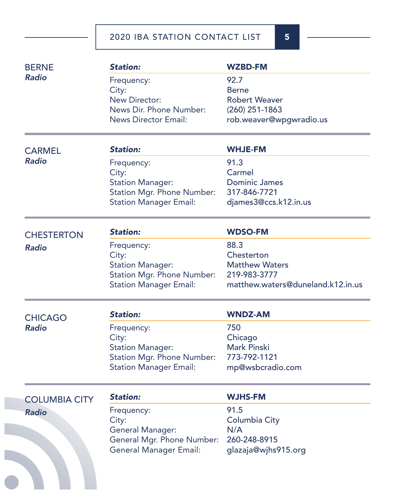| <b>Station:</b>                   | <b>WZBD-FM</b>                                                                                                                                                                                                                                                                                 |
|-----------------------------------|------------------------------------------------------------------------------------------------------------------------------------------------------------------------------------------------------------------------------------------------------------------------------------------------|
| Frequency:                        | 92.7                                                                                                                                                                                                                                                                                           |
| City:                             | <b>Berne</b>                                                                                                                                                                                                                                                                                   |
| New Director:                     | <b>Robert Weaver</b>                                                                                                                                                                                                                                                                           |
| News Dir. Phone Number:           | $(260)$ 251-1863                                                                                                                                                                                                                                                                               |
| <b>News Director Email:</b>       | rob.weaver@wpgwradio.us                                                                                                                                                                                                                                                                        |
| <b>Station:</b>                   | <b>WHJE-FM</b>                                                                                                                                                                                                                                                                                 |
| Frequency:                        | 91.3                                                                                                                                                                                                                                                                                           |
|                                   | Carmel                                                                                                                                                                                                                                                                                         |
|                                   | <b>Dominic James</b>                                                                                                                                                                                                                                                                           |
|                                   | 317-846-7721                                                                                                                                                                                                                                                                                   |
| <b>Station Manager Email:</b>     | djames3@ccs.k12.in.us                                                                                                                                                                                                                                                                          |
| <b>Station:</b>                   | <b>WDSO-FM</b>                                                                                                                                                                                                                                                                                 |
|                                   | 88.3                                                                                                                                                                                                                                                                                           |
|                                   | Chesterton                                                                                                                                                                                                                                                                                     |
|                                   | <b>Matthew Waters</b>                                                                                                                                                                                                                                                                          |
|                                   | 219-983-3777                                                                                                                                                                                                                                                                                   |
| <b>Station Manager Email:</b>     | matthew.waters@duneland.k12.in.us                                                                                                                                                                                                                                                              |
| <b>Station:</b>                   | <b>WNDZ-AM</b>                                                                                                                                                                                                                                                                                 |
|                                   | 750                                                                                                                                                                                                                                                                                            |
|                                   | Chicago                                                                                                                                                                                                                                                                                        |
|                                   | <b>Mark Pinski</b>                                                                                                                                                                                                                                                                             |
| <b>Station Mgr. Phone Number:</b> | 773-792-1121                                                                                                                                                                                                                                                                                   |
| <b>Station Manager Email:</b>     | mp@wsbcradio.com                                                                                                                                                                                                                                                                               |
| <b>Station:</b>                   | <b>WJHS-FM</b>                                                                                                                                                                                                                                                                                 |
|                                   | 91.5                                                                                                                                                                                                                                                                                           |
|                                   | Columbia City                                                                                                                                                                                                                                                                                  |
|                                   | N/A                                                                                                                                                                                                                                                                                            |
|                                   | 260-248-8915                                                                                                                                                                                                                                                                                   |
|                                   | glazaja@wjhs915.org                                                                                                                                                                                                                                                                            |
| <b>General Manager Email:</b>     |                                                                                                                                                                                                                                                                                                |
|                                   | City:<br><b>Station Manager:</b><br><b>Station Mgr. Phone Number:</b><br>Frequency:<br>City:<br><b>Station Manager:</b><br><b>Station Mgr. Phone Number:</b><br>Frequency:<br>City:<br><b>Station Manager:</b><br>Frequency:<br>City:<br><b>General Manager:</b><br>General Mgr. Phone Number: |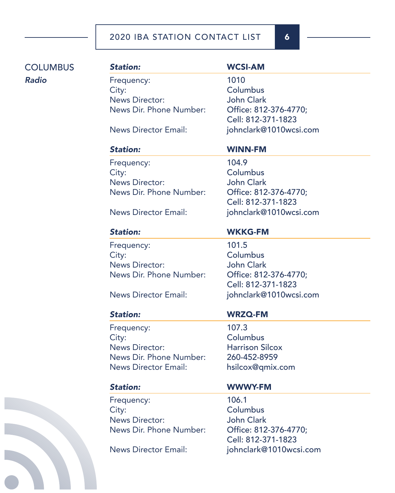# **COLUMBUS** *Radio*

Frequency: 1010 City: City: Columbus News Director: John Clark News Dir. Phone Number: Office: 812-376-4770;

Frequency: 104.9 City: Columbus News Director: John Clark News Dir. Phone Number: Office: 812-376-4770;

Frequency: 101.5 City: Columbus News Director: John Clark News Dir. Phone Number: Office: 812-376-4770;

Frequency: 107.3 City: City: Columbus News Director: Harrison Silcox News Dir. Phone Number: 260-452-8959 News Director Email: hsilcox@qmix.com

Frequency: 106.1 City: Columbus News Director: John Clark News Dir. Phone Number: Office: 812-376-4770;

# *Station:* WCSI-AM

Cell: 812-371-1823 News Director Email: johnclark@1010wcsi.com

# *Station:* WINN-FM

Cell: 812-371-1823 News Director Email: johnclark@1010wcsi.com

# *Station:* WKKG-FM

Cell: 812-371-1823 News Director Email: johnclark@1010wcsi.com

### *Station:* WRZQ-FM

### *Station:* WWWY-FM

Cell: 812-371-1823 News Director Email: johnclark@1010wcsi.com

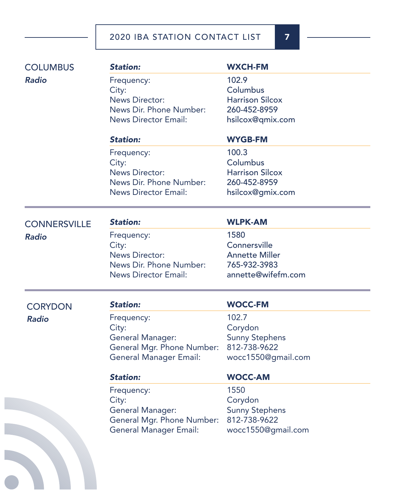| <b>COLUMBUS</b>     | <b>Station:</b>               | <b>WXCH-FM</b>         |
|---------------------|-------------------------------|------------------------|
| <b>Radio</b>        | Frequency:                    | 102.9                  |
|                     | City:                         | Columbus               |
|                     | <b>News Director:</b>         | <b>Harrison Silcox</b> |
|                     | News Dir. Phone Number:       | 260-452-8959           |
|                     | <b>News Director Email:</b>   | hsilcox@qmix.com       |
|                     | <b>Station:</b>               | <b>WYGB-FM</b>         |
|                     | Frequency:                    | 100.3                  |
|                     | City:                         | Columbus               |
|                     | <b>News Director:</b>         | <b>Harrison Silcox</b> |
|                     | News Dir. Phone Number:       | 260-452-8959           |
|                     | <b>News Director Email:</b>   | hsilcox@gmix.com       |
| <b>CONNERSVILLE</b> | <b>Station:</b>               | <b>WLPK-AM</b>         |
| <b>Radio</b>        | Frequency:                    | 1580                   |
|                     | City:                         | Connersville           |
|                     | <b>News Director:</b>         | <b>Annette Miller</b>  |
|                     | News Dir. Phone Number:       | 765-932-3983           |
|                     | <b>News Director Email:</b>   | annette@wifefm.com     |
| <b>CORYDON</b>      | <b>Station:</b>               | <b>WOCC-FM</b>         |
| <b>Radio</b>        | Frequency:                    | 102.7                  |
|                     | City:                         | Corydon                |
|                     | General Manager:              | <b>Sunny Stephens</b>  |
|                     | General Mgr. Phone Number:    | 812-738-9622           |
|                     | <b>General Manager Email:</b> | wocc1550@gmail.com     |
|                     | <b>Station:</b>               | <b>WOCC-AM</b>         |
|                     | Frequency:                    | 1550                   |
|                     | City:                         | Corydon                |
|                     | <b>General Manager:</b>       | <b>Sunny Stephens</b>  |
|                     | General Mgr. Phone Number:    | 812-738-9622           |
|                     | <b>General Manager Email:</b> | wocc1550@gmail.com     |
|                     |                               |                        |
|                     |                               |                        |
|                     |                               |                        |
|                     |                               |                        |
|                     |                               |                        |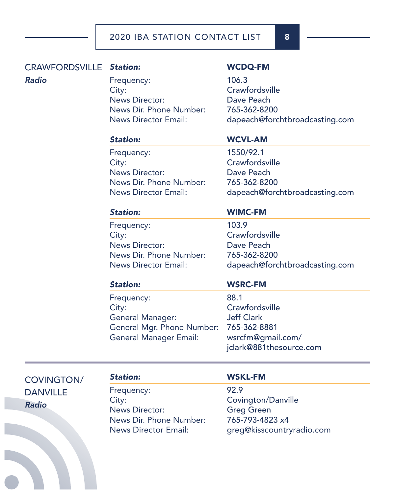# CRAWFORDSVILLE Station:

### *Radio*

Frequency: 106.3 City: Crawfordsville News Director: Dave Peach News Dir. Phone Number: 765-362-8200

### *Station:* WCDQ-FM

News Director Email: dapeach@forchtbroadcasting.com

Frequency: 1550/92.1 City: Crawfordsville News Director: Dave Peach News Dir. Phone Number: 765-362-8200

# *Station:* WCVL-AM

News Director Email: dapeach@forchtbroadcasting.com

Frequency: 103.9 City: Crawfordsville News Director: Dave Peach News Dir. Phone Number: 765-362-8200

### *Station:* WIMC-FM

News Director Email: dapeach@forchtbroadcasting.com

Frequency: 88.1 City: Crawfordsville General Manager: Jeff Clark General Mgr. Phone Number: 765-362-8881 General Manager Email: wsrcfm@gmail.com/

### *Station:* WSRC-FM

jclark@881thesource.com

COVINGTON/ DANVILLE *Radio*

Frequency: 92.9 City: City: Covington/Danville News Director: Greg Green News Dir. Phone Number: 765-793-4823 x4

### *Station:* WSKL-FM

News Director Email: greg@kisscountryradio.com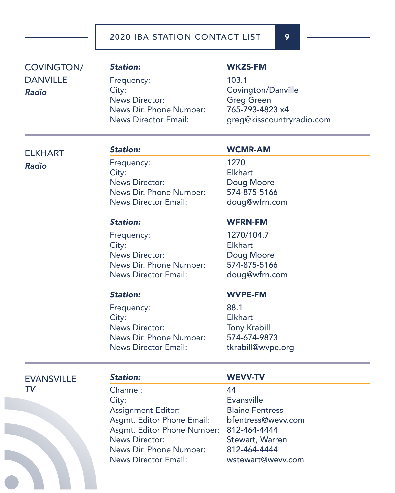| <b>COVINGTON/</b> | <b>Station:</b>             | <b>WKZS-FM</b>            |  |
|-------------------|-----------------------------|---------------------------|--|
| <b>DANVILLE</b>   | Frequency:                  | 103.1                     |  |
| <b>Radio</b>      | City:                       | <b>Covington/Danville</b> |  |
|                   | <b>News Director:</b>       | <b>Greg Green</b>         |  |
|                   | News Dir. Phone Number:     | 765-793-4823 x4           |  |
|                   | <b>News Director Email:</b> | greg@kisscountryradio.com |  |
| <b>ELKHART</b>    | <b>Station:</b>             | <b>WCMR-AM</b>            |  |
| <b>Radio</b>      | Frequency:                  | 1270                      |  |
|                   | City:                       | <b>Elkhart</b>            |  |
|                   | <b>News Director:</b>       | Doug Moore                |  |
|                   | News Dir. Phone Number:     | 574-875-5166              |  |
|                   | <b>News Director Email:</b> | doug@wfrn.com             |  |
|                   | <b>Station:</b>             | <b>WFRN-FM</b>            |  |
|                   | Frequency:                  | 1270/104.7                |  |
|                   | City:                       | <b>Elkhart</b>            |  |
|                   | <b>News Director:</b>       | Doug Moore                |  |
|                   | News Dir. Phone Number:     | 574-875-5166              |  |
|                   | <b>News Director Email:</b> | doug@wfrn.com             |  |
|                   | <b>Station:</b>             | <b>WVPE-FM</b>            |  |
|                   | Frequency:                  | 88.1                      |  |
|                   | City:                       | <b>Elkhart</b>            |  |
|                   | <b>News Director:</b>       | <b>Tony Krabill</b>       |  |
|                   | News Dir. Phone Number:     | 574-674-9873              |  |
|                   | <b>News Director Email:</b> | tkrabill@wvpe.org         |  |
| <b>EVANSVILLE</b> | <b>Station:</b>             | <b>WEVV-TV</b>            |  |
| TV                | Channel:                    | 44                        |  |
|                   | City:                       | <b>Evansville</b>         |  |
|                   | <b>Assignment Editor:</b>   | <b>Blaine Fentress</b>    |  |
|                   | Asgmt. Editor Phone Email:  | bfentress@wevv.com        |  |
|                   | Asgmt. Editor Phone Number: | 812-464-4444              |  |
|                   | <b>News Director:</b>       | Stewart, Warren           |  |
|                   | News Dir. Phone Number:     | 812-464-4444              |  |
|                   | <b>News Director Email:</b> | wstewart@wevv.com         |  |
|                   |                             |                           |  |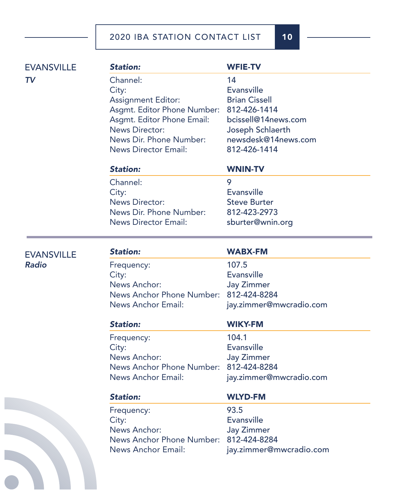*Station:* WFIE-TV Channel: 14 City: Evansville Assignment Editor: Brian Cissell Asgmt. Editor Phone Number: 812-426-1414 Asgmt. Editor Phone Email: bcissell@14news.com News Director: Joseph Schlaerth News Dir. Phone Number: newsdesk@14news.com News Director Email: 812-426-1414 *Station:* WNIN-TV Channel: 9 City: Evansville **EVANSVILLE** *TV*

News Director: Steve Burter News Dir. Phone Number: 812-423-2973 News Director Email: sburter@wnin.org

**EVANSVILLE** *Radio*

| L | τ | <b>Service Service</b><br>L | ۰. |  |
|---|---|-----------------------------|----|--|
|   |   |                             |    |  |

### *Station:* WABX-FM

Frequency: 107.5 City: Evansville News Anchor: Jay Zimmer News Anchor Phone Number: 812-424-8284 News Anchor Email: jay.zimmer@mwcradio.com

Frequency: 104.1 City: Evansville News Anchor: Jay Zimmer News Anchor Phone Number: 812-424-8284 News Anchor Email: jay.zimmer@mwcradio.com

### *Station:* WIKY-FM

| <b>Station:</b>                        | <b>WLYD-FM</b>          |
|----------------------------------------|-------------------------|
| Frequency:                             | 93.5                    |
| City:                                  | <b>Evansville</b>       |
| News Anchor:                           | <b>Jay Zimmer</b>       |
| News Anchor Phone Number: 812-424-8284 |                         |
| News Anchor Email:                     | jay.zimmer@mwcradio.com |

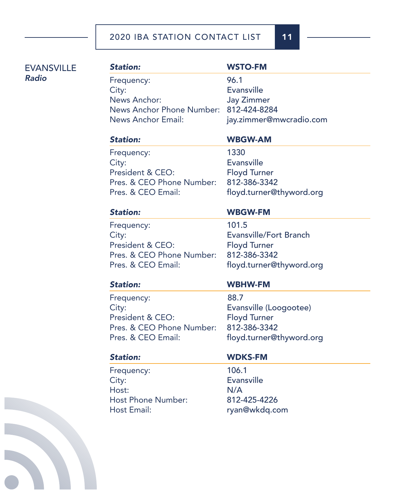| <b>EVANSVILLE</b> | <b>Station:</b>           | <b>WSTO-FM</b>           |
|-------------------|---------------------------|--------------------------|
| Radio             | Frequency:                | 96.1                     |
|                   | City:                     | <b>Evansville</b>        |
|                   | News Anchor:              | <b>Jay Zimmer</b>        |
|                   | News Anchor Phone Number: | 812-424-8284             |
|                   | <b>News Anchor Email:</b> | jay.zimmer@mwcradio.com  |
|                   | <b>Station:</b>           | <b>WBGW-AM</b>           |
|                   | Frequency:                | 1330                     |
|                   | City:                     | <b>Evansville</b>        |
|                   | President & CEO:          | <b>Floyd Turner</b>      |
|                   | Pres. & CEO Phone Number: | 812-386-3342             |
|                   | Pres. & CEO Email:        | floyd.turner@thyword.org |
|                   | <b>Station:</b>           | <b>WBGW-FM</b>           |
|                   | Frequency:                | 101.5                    |
|                   | City:                     | Evansville/Fort Branch   |
|                   | President & CEO:          | <b>Floyd Turner</b>      |
|                   | Pres. & CEO Phone Number: | 812-386-3342             |
|                   | Pres. & CEO Email:        | floyd.turner@thyword.org |
|                   | <b>Station:</b>           | <b>WBHW-FM</b>           |
|                   | Frequency:                | 88.7                     |
|                   | City:                     | Evansville (Loogootee)   |
|                   | President & CEO:          | <b>Floyd Turner</b>      |
|                   | Pres. & CEO Phone Number: | 812-386-3342             |
|                   | Pres. & CEO Email:        | floyd.turner@thyword.org |
|                   | <b>Station:</b>           | <b>WDKS-FM</b>           |
|                   | Frequency:                | 106.1                    |
|                   | City:                     | <b>Evansville</b>        |
|                   | Host:                     | N/A                      |
|                   | <b>Host Phone Number:</b> | 812-425-4226             |
|                   | Host Email:               | ryan@wkdq.com            |
|                   |                           |                          |
|                   |                           |                          |
|                   |                           |                          |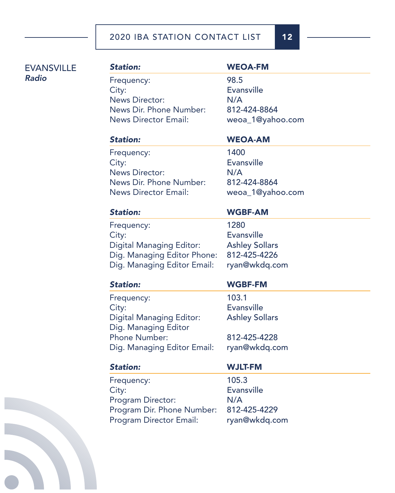## **EVANSVILLE** *Radio*

# *Station:* WEOA-FM Frequency: 98.5 City: Evansville News Director: N/A News Dir. Phone Number: 812-424-8864 News Director Email: weoa\_1@yahoo.com

# *Station:* WEOA-AM

Frequency: 1400 City: Evansville News Director: N/A News Dir. Phone Number: 812-424-8864 News Director Email: weoa\_1@yahoo.com

### *Station:* WGBF-AM

# Frequency: 1280 City: Evansville Digital Managing Editor: Ashley Sollars Dig. Managing Editor Phone: 812-425-4226 Dig. Managing Editor Email: ryan@wkdq.com

# *Station:* WGBF-FM

Frequency: 103.1 City: Evansville Digital Managing Editor: Ashley Sollars

Phone Number: 812-425-4228 Dig. Managing Editor Email: ryan@wkdq.com

Frequency: 105.3 City: Evansville Program Director: N/A Program Dir. Phone Number: 812-425-4229 Program Director Email: ryan@wkdq.com

Dig. Managing Editor

# *Station:* WJLT-FM

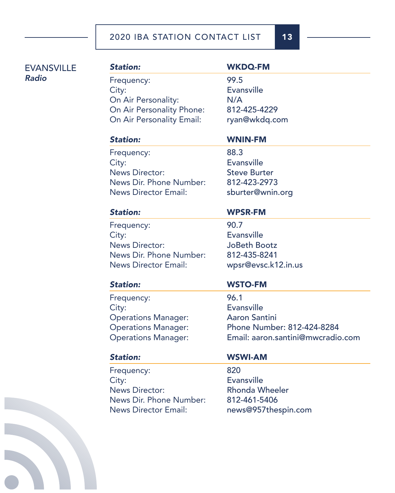## **EVANSVILLE** *Radio*

# *Station:* WKDQ-FM Frequency: 99.5 City: Evansville On Air Personality: N/A On Air Personality Phone: 812-425-4229 On Air Personality Email: ryan@wkdq.com

# *Station:* WNIN-FM

Frequency: 88.3 City: Evansville News Director: Steve Burter News Dir. Phone Number: 812-423-2973 News Director Email: sburter@wnin.org

# *Station:* WPSR-FM

Frequency: 90.7 City: Evansville News Director: JoBeth Bootz News Dir. Phone Number: 812-435-8241 News Director Email: wpsr@evsc.k12.in.us

Frequency: 96.1 City: Evansville Operations Manager: Aaron Santini

Frequency: 820 City: Evansville News Director: Rhonda Wheeler News Dir. Phone Number: 812-461-5406 News Director Email: news@957thespin.com

# *Station:* WSTO-FM

Operations Manager: Phone Number: 812-424-8284 Operations Manager: Email: aaron.santini@mwcradio.com 

## *Station:* WSWI-AM

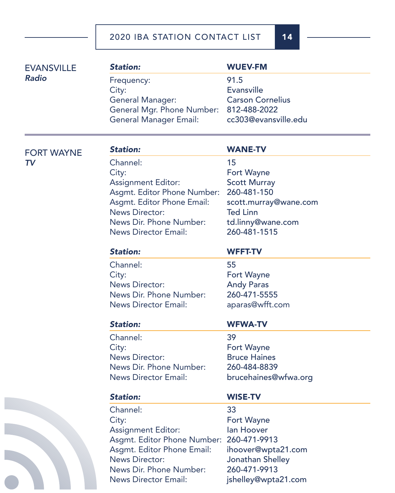| <b>EVANSVILLE</b> | <b>Station:</b>               | <b>WUEV-FM</b>          |
|-------------------|-------------------------------|-------------------------|
| <b>Radio</b>      | Frequency:                    | 91.5                    |
|                   | City:                         | <b>Evansville</b>       |
|                   | <b>General Manager:</b>       | <b>Carson Cornelius</b> |
|                   | General Mgr. Phone Number:    | 812-488-2022            |
|                   | <b>General Manager Email:</b> | cc303@evansville.edu    |
| <b>FORT WAYNE</b> | <b>Station:</b>               | <b>WANE-TV</b>          |
| <b>TV</b>         | Channel:                      | 15                      |
|                   | City:                         | Fort Wayne              |
|                   | <b>Assignment Editor:</b>     | <b>Scott Murray</b>     |
|                   | Asgmt. Editor Phone Number:   | 260-481-150             |
|                   | Asgmt. Editor Phone Email:    | scott.murray@wane.com   |
|                   | <b>News Director:</b>         | <b>Ted Linn</b>         |
|                   | News Dir. Phone Number:       | td.linny@wane.com       |
|                   | <b>News Director Email:</b>   | 260-481-1515            |
|                   | <b>Station:</b>               | <b>WFFT-TV</b>          |
|                   | Channel:                      | 55                      |
|                   | City:                         | Fort Wayne              |
|                   | <b>News Director:</b>         | <b>Andy Paras</b>       |
|                   | News Dir. Phone Number:       | 260-471-5555            |
|                   | <b>News Director Email:</b>   | aparas@wfft.com         |
|                   | <b>Station:</b>               | <b>WFWA-TV</b>          |
|                   | Channel:                      | 39                      |
|                   | City:                         | Fort Wayne              |
|                   | <b>News Director:</b>         | <b>Bruce Haines</b>     |
|                   | News Dir. Phone Number:       | 260-484-8839            |
|                   | <b>News Director Email:</b>   | brucehaines@wfwa.org    |
|                   | <b>Station:</b>               | <b>WISE-TV</b>          |
|                   | Channel:                      | 33                      |
|                   | City:                         | Fort Wayne              |
|                   | <b>Assignment Editor:</b>     | lan Hoover              |
|                   | Asgmt. Editor Phone Number:   | 260-471-9913            |
|                   | Asgmt. Editor Phone Email:    | ihoover@wpta21.com      |
|                   | <b>News Director:</b>         | Jonathan Shelley        |
|                   | News Dir. Phone Number:       | 260-471-9913            |
|                   | <b>News Director Email:</b>   | jshelley@wpta21.com     |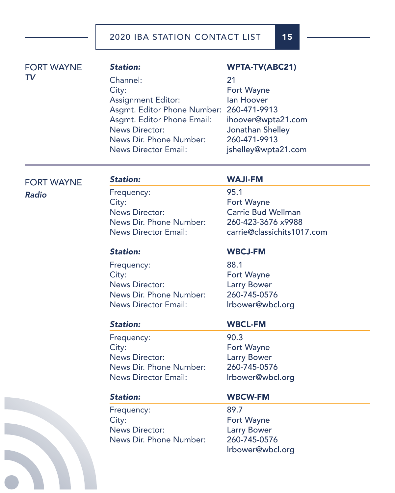| <b>FORT WAYNE</b> | <b>Station:</b>                                                                                                                                                              | <b>WPTA-TV(ABC21)</b>                                                                           |
|-------------------|------------------------------------------------------------------------------------------------------------------------------------------------------------------------------|-------------------------------------------------------------------------------------------------|
| TV                | Channel:<br>City:<br><b>Assignment Editor:</b><br>Asgmt. Editor Phone Number: 260-471-9913<br>Asgmt. Editor Phone Email:<br><b>News Director:</b><br>News Dir. Phone Number: | 21<br><b>Fort Wayne</b><br>lan Hoover<br>ihoover@wpta21.com<br>Jonathan Shelley<br>260-471-9913 |
|                   | <b>News Director Email:</b>                                                                                                                                                  | jshelley@wpta21.com                                                                             |

FORT WAYNE

### *Radio*

### *Station:* WAJI-FM

Frequency: 95.1 City: **Fort Wayne** News Director: Carrie Bud Wellman News Dir. Phone Number: 260-423-3676 x9988 News Director Email: carrie@classichits1017.com

Frequency: 88.1 City: **Fort Wayne** News Director: Larry Bower News Dir. Phone Number: 260-745-0576 News Director Email: lrbower@wbcl.org

# *Station:* WBCJ-FM

Frequency: 90.3 City: **Fort Wayne** News Director: Larry Bower News Dir. Phone Number: 260-745-0576 News Director Email: lrbower@wbcl.org

# *Station:* WBCL-FM

Frequency: 89.7 City: **Fort Wayne** News Director: Larry Bower News Dir. Phone Number: 260-745-0576

# *Station:* WBCW-FM

lrbower@wbcl.org

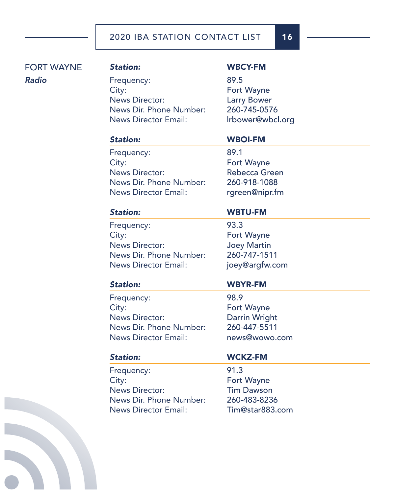# *Station:* WBCY-FM

Frequency: 89.5 City: **Fort Wayne** News Director: Larry Bower News Dir. Phone Number: 260-745-0576 News Director Email: lrbower@wbcl.org

*Station:* WBOI-FM

Frequency: 89.1 City: **Fort Wayne** News Director: Rebecca Green News Dir. Phone Number: 260-918-1088 News Director Email: rgreen@nipr.fm

### *Station:* WBTU-FM

Frequency: 93.3 City: **Fort Wayne** News Director: Joey Martin News Dir. Phone Number: 260-747-1511 News Director Email: joey@argfw.com

Frequency: 98.9 City: **Fort Wayne** News Director: Darrin Wright News Dir. Phone Number: 260-447-5511 News Director Email: news@wowo.com

# *Station:* WBYR-FM

### *Station:* WCKZ-FM

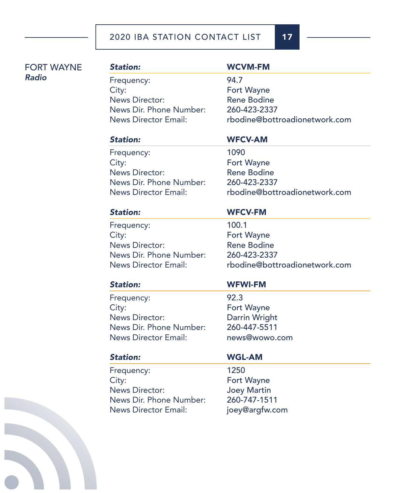| <b>FORT WAYNE</b> | <b>Station:</b>             | <b>WC</b>  |
|-------------------|-----------------------------|------------|
| Radio             | Frequency:                  | 94.7       |
|                   | City:                       | Fort       |
|                   | <b>News Director:</b>       | Rene       |
|                   | News Dir. Phone Number:     | 260-       |
|                   | <b>News Director Email:</b> | rboc       |
|                   | <b>Station:</b>             | <b>WFC</b> |
|                   | Frequency:                  | 1090       |
|                   | City:                       | Fort       |
|                   | <b>News Director:</b>       | Rene       |
|                   | News Dir. Phone Number:     | 260-       |
|                   | <b>News Director Email:</b> | rboc       |
|                   | <b>Station:</b>             | <b>WFC</b> |
|                   | Frequency:                  | 100.       |
|                   | City:                       | Fort       |
|                   | <b>News Director:</b>       | Rene       |
|                   |                             |            |

### *Station:* WFCV-AM

*Station:* WCVM-FM

Fort Wayne Rene Bodine 260-423-2337

1090 Fort Wayne Rene Bodine 260-423-2337 rbodine@bottroadionetwork.com

rbodine@bottroadionetwork.com

News Dir. Phone Number: 260-423-2337

 $100.1$ Fort Wayne Rene Bodine

News Director Email: rbodine@bottroadionetwork.com

Frequency: 92.3 City: **Fort Wayne** News Director: Darrin Wright News Dir. Phone Number: 260-447-5511 News Director Email: news@wowo.com

Frequency: 1250 City: **Fort Wayne** News Director: Joey Martin News Dir. Phone Number: 260-747-1511 News Director Email: joey@argfw.com

### *Station:* WFWI-FM

*Station:* WFCV-FM

## *Station:* WGL-AM

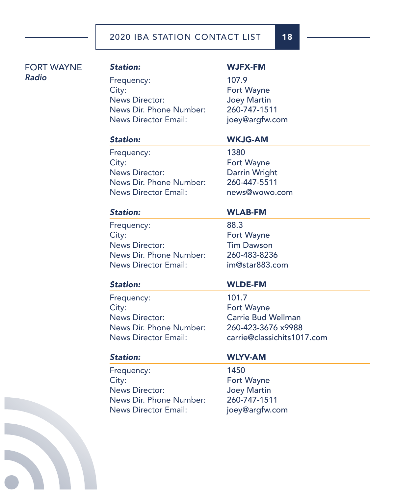# *Station:* WJFX-FM

Frequency: 107.9 City: **Fort Wayne** News Director: Joey Martin News Dir. Phone Number: 260-747-1511 News Director Email: joey@argfw.com

## *Station:* WKJG-AM

Frequency: 1380 City: **Fort Wayne** News Director: Darrin Wright News Dir. Phone Number: 260-447-5511 News Director Email: news@wowo.com

## *Station:* WLAB-FM

Frequency: 88.3 City: **Fort Wayne** News Director: Tim Dawson News Dir. Phone Number: 260-483-8236 News Director Email: im@star883.com

Frequency: 101.7 City: **Fort Wayne** News Director: Carrie Bud Wellman News Dir. Phone Number: 260-423-3676 x9988

# *Station:* WLDE-FM

News Director Email: carrie@classichits1017.com

Frequency: 1450 City: **Fort Wayne** News Director: Joey Martin News Dir. Phone Number: 260-747-1511 News Director Email: joey@argfw.com

# *Station:* WLYV-AM

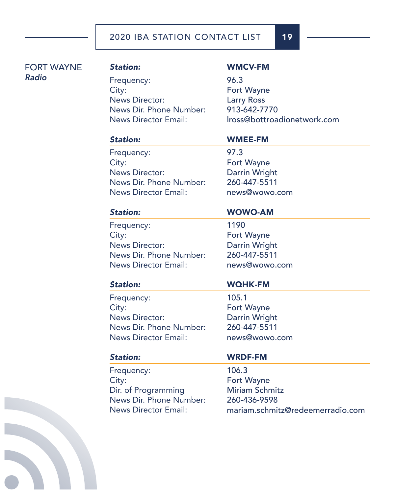Frequency: 96.3 City: **Fort Wayne** News Director: Larry Ross News Dir. Phone Number: 913-642-7770

# *Station:* WMCV-FM

News Director Email: lross@bottroadionetwork.com

Frequency: 97.3 City: **Fort Wayne** News Director: Darrin Wright News Dir. Phone Number: 260-447-5511 News Director Email: news@wowo.com

# *Station:* WMEE-FM

Frequency: 1190 City: **Fort Wayne** News Director: Darrin Wright News Dir. Phone Number: 260-447-5511 News Director Email: news@wowo.com

*Station:* WOWO-AM

# *Station:* WQHK-FM

Frequency: 105.1 City: **Fort Wayne** News Director: Darrin Wright News Dir. Phone Number: 260-447-5511 News Director Email: news@wowo.com

Frequency: 106.3 City: **Fort Wayne** Dir. of Programming Miriam Schmitz News Dir. Phone Number: 260-436-9598

# *Station:* WRDF-FM

News Director Email: mariam.schmitz@redeemerradio.com

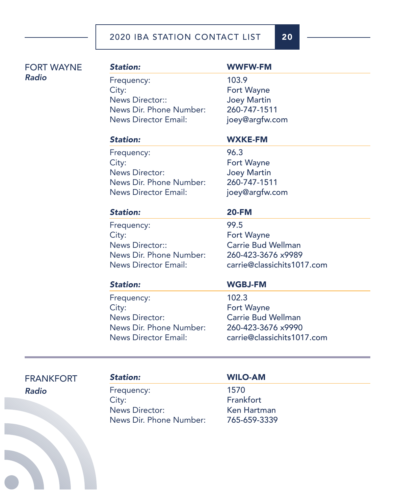# *Station:* WWFW-FM

Frequency: 103.9 City: **Fort Wayne** News Director:: Joey Martin News Dir. Phone Number: 260-747-1511 News Director Email: joey@argfw.com

## *Station:* WXKE-FM

Frequency: 96.3 City: **Fort Wayne** News Director: Joey Martin News Dir. Phone Number: 260-747-1511 News Director Email: joey@argfw.com

### *Station:* 20-FM

Frequency: 99.5 City: **Fort Wayne** News Director:: Carrie Bud Wellman News Dir. Phone Number: 260-423-3676 x9989

News Director Email: carrie@classichits1017.com

Frequency: 102.3 City: **Fort Wayne** News Director: Carrie Bud Wellman News Dir. Phone Number: 260-423-3676 x9990

### *Station:* WGBJ-FM

News Director Email: carrie@classichits1017.com

FRANKFORT *Radio*

Frequency: 1570 City: **Frankfort** News Director: Ken Hartman News Dir. Phone Number: 765-659-3339

### *Station:* WILO-AM

j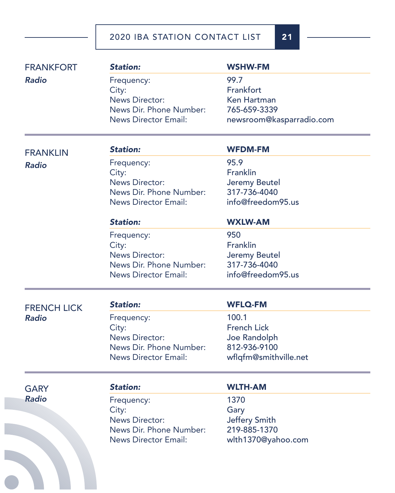| <b>FRANKFORT</b>   | <b>Station:</b>             | <b>WSHW-FM</b>           |
|--------------------|-----------------------------|--------------------------|
| <b>Radio</b>       | Frequency:                  | 99.7                     |
|                    | City:                       | Frankfort                |
|                    | <b>News Director:</b>       | <b>Ken Hartman</b>       |
|                    | News Dir. Phone Number:     | 765-659-3339             |
|                    | <b>News Director Email:</b> | newsroom@kasparradio.com |
| <b>FRANKLIN</b>    | <b>Station:</b>             | <b>WFDM-FM</b>           |
| <b>Radio</b>       | Frequency:                  | 95.9                     |
|                    | City:                       | Franklin                 |
|                    | <b>News Director:</b>       | Jeremy Beutel            |
|                    | News Dir. Phone Number:     | 317-736-4040             |
|                    | <b>News Director Email:</b> | info@freedom95.us        |
|                    | <b>Station:</b>             | <b>WXLW-AM</b>           |
|                    | Frequency:                  | 950                      |
|                    | City:                       | Franklin                 |
|                    | <b>News Director:</b>       | Jeremy Beutel            |
|                    | News Dir. Phone Number:     | 317-736-4040             |
|                    | <b>News Director Email:</b> | info@freedom95.us        |
| <b>FRENCH LICK</b> | <b>Station:</b>             | <b>WFLQ-FM</b>           |
| <b>Radio</b>       | Frequency:                  | 100.1                    |
|                    | City:                       | <b>French Lick</b>       |
|                    | <b>News Director:</b>       | Joe Randolph             |
|                    | News Dir. Phone Number:     | 812-936-9100             |
|                    | <b>News Director Email:</b> | wflqfm@smithville.net    |
| <b>GARY</b>        | <b>Station:</b>             | <b>WLTH-AM</b>           |
| <b>Radio</b>       |                             | 1370                     |
|                    | Frequency:<br>City:         | Gary                     |
|                    | <b>News Director:</b>       | Jeffery Smith            |
|                    | News Dir. Phone Number:     | 219-885-1370             |
|                    | <b>News Director Email:</b> | wlth1370@yahoo.com       |
|                    |                             |                          |
|                    |                             |                          |
|                    |                             |                          |
|                    |                             |                          |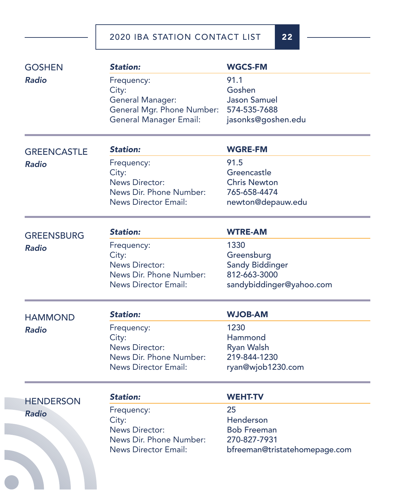| <b>GOSHEN</b>      | <b>Station:</b>               | <b>WGCS-FM</b>                |
|--------------------|-------------------------------|-------------------------------|
| <b>Radio</b>       | Frequency:                    | 91.1                          |
|                    | City:                         | Goshen                        |
|                    | <b>General Manager:</b>       | <b>Jason Samuel</b>           |
|                    | General Mgr. Phone Number:    | 574-535-7688                  |
|                    | <b>General Manager Email:</b> | jasonks@goshen.edu            |
| <b>GREENCASTLE</b> | <b>Station:</b>               | <b>WGRE-FM</b>                |
| <b>Radio</b>       | Frequency:                    | 91.5                          |
|                    | City:                         | Greencastle                   |
|                    | <b>News Director:</b>         | <b>Chris Newton</b>           |
|                    | News Dir. Phone Number:       | 765-658-4474                  |
|                    | <b>News Director Email:</b>   | newton@depauw.edu             |
| <b>GREENSBURG</b>  | <b>Station:</b>               | <b>WTRE-AM</b>                |
| <b>Radio</b>       | Frequency:                    | 1330                          |
|                    | City:                         | Greensburg                    |
|                    | <b>News Director:</b>         | <b>Sandy Biddinger</b>        |
|                    | News Dir. Phone Number:       | 812-663-3000                  |
|                    | <b>News Director Email:</b>   | sandybiddinger@yahoo.com      |
| <b>HAMMOND</b>     | <b>Station:</b>               | <b>WJOB-AM</b>                |
| <b>Radio</b>       | Frequency:                    | 1230                          |
|                    | City:                         | Hammond                       |
|                    | <b>News Director:</b>         | <b>Ryan Walsh</b>             |
|                    | News Dir. Phone Number:       | 219-844-1230                  |
|                    | <b>News Director Email:</b>   | ryan@wjob1230.com             |
| <b>HENDERSON</b>   | <b>Station:</b>               | <b>WEHT-TV</b>                |
| <b>Radio</b>       | Frequency:                    | 25                            |
|                    | City:                         | Henderson                     |
|                    | <b>News Director:</b>         | <b>Bob Freeman</b>            |
|                    | News Dir. Phone Number:       | 270-827-7931                  |
|                    | <b>News Director Email:</b>   | bfreeman@tristatehomepage.com |
|                    |                               |                               |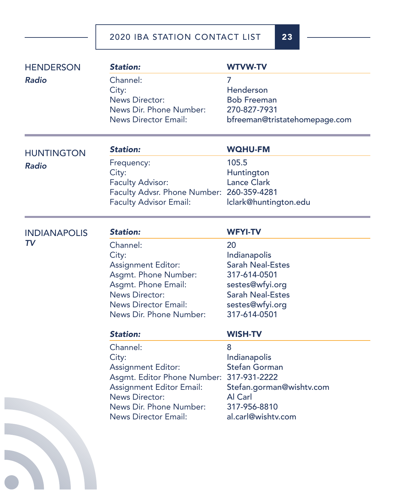| <b>HENDERSON</b>    | <b>Station:</b>                                                                                                                                                                                     | <b>WTVW-TV</b>                                                                                                                                                   |
|---------------------|-----------------------------------------------------------------------------------------------------------------------------------------------------------------------------------------------------|------------------------------------------------------------------------------------------------------------------------------------------------------------------|
| <b>Radio</b>        | Channel:<br>City:<br><b>News Director:</b><br>News Dir. Phone Number:<br><b>News Director Email:</b>                                                                                                | 7<br>Henderson<br><b>Bob Freeman</b><br>270-827-7931<br>bfreeman@tristatehomepage.com                                                                            |
| <b>HUNTINGTON</b>   | <b>Station:</b>                                                                                                                                                                                     | <b>WQHU-FM</b>                                                                                                                                                   |
| <b>Radio</b>        | Frequency:<br>City:<br><b>Faculty Advisor:</b><br>Faculty Advsr. Phone Number: 260-359-4281<br><b>Faculty Advisor Email:</b>                                                                        | 105.5<br>Huntington<br><b>Lance Clark</b><br>Iclark@huntington.edu                                                                                               |
| <b>INDIANAPOLIS</b> | <b>Station:</b>                                                                                                                                                                                     | <b>WFYI-TV</b>                                                                                                                                                   |
| TV                  | Channel:<br>City:<br><b>Assignment Editor:</b><br>Asgmt. Phone Number:<br>Asgmt. Phone Email:<br><b>News Director:</b><br><b>News Director Email:</b><br>News Dir. Phone Number:<br><b>Station:</b> | 20<br>Indianapolis<br><b>Sarah Neal-Estes</b><br>317-614-0501<br>sestes@wfyi.org<br><b>Sarah Neal-Estes</b><br>sestes@wfyi.org<br>317-614-0501<br><b>WISH-TV</b> |
|                     | Channel:<br>City:<br><b>Assignment Editor:</b><br>Asgmt. Editor Phone Number:<br><b>Assignment Editor Email:</b><br><b>News Director:</b><br>News Dir. Phone Number:<br><b>News Director Email:</b> | 8<br>Indianapolis<br><b>Stefan Gorman</b><br>317-931-2222<br>Stefan.gorman@wishtv.com<br>Al Carl<br>317-956-8810<br>al.carl@wishtv.com                           |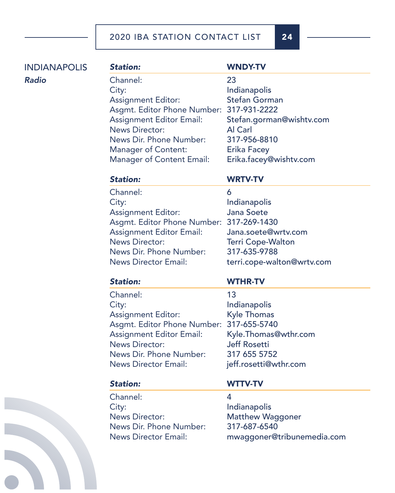*Station:* WNDY-TV Channel: 23 City: **Indianapolis** Assignment Editor: Stefan Gorman Asgmt. Editor Phone Number: 317-931-2222 Assignment Editor Email: Stefan.gorman@wishtv.com News Director: Al Carl News Dir. Phone Number: 317-956-8810 Manager of Content: Erika Facey Manager of Content Email: Erika.facey@wishtv.com INDIANAPOLIS

### *Station:* WRTV-TV

# Channel: 6 City: and the lindianapolis of the lindianapolis Assignment Editor: Jana Soete Asgmt. Editor Phone Number: 317-269-1430 Assignment Editor Email: Jana.soete@wrtv.com News Director: Terri Cope-Walton News Dir. Phone Number: 317-635-9788 News Director Email: terri.cope-walton@wrtv.com

### *Station:* WTHR-TV

# Channel: 13 City: Indianapolis Assignment Editor: Kyle Thomas Asgmt. Editor Phone Number: 317-655-5740 Assignment Editor Email: Kyle.Thomas@wthr.com News Director: Jeff Rosetti News Dir. Phone Number: 317 655 5752 News Director Email: ieff.rosetti@wthr.com

# *Station:* WTTV-TV

Channel: 4 City: Indianapolis News Director: Matthew Waggoner News Dir. Phone Number: 317-687-6540

News Director Email: mwaggoner@tribunemedia.com



*Radio*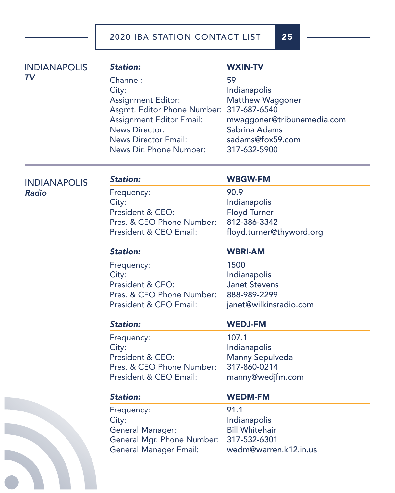*Station:* WXIN-TV Channel: 59 City: and the state of the local distribution of the local distribution of the local distribution of the local distribution of the local distribution of the local distribution of the local distribution of the local distrib Assignment Editor: Matthew Waggoner Asgmt. Editor Phone Number: 317-687-6540 Assignment Editor Email: mwaggoner@tribunemedia.com News Director: Sabrina Adams News Director Email: sadams@fox59.com News Dir. Phone Number: 317-632-5900 INDIANAPOLIS *TV*

## INDIANAPOLIS *Radio*

|  |  |  | ٠ |  |
|--|--|--|---|--|
|  |  |  |   |  |

### WBGW-FM

Frequency: 90.9 City: Indianapolis President & CEO: Floyd Turner Pres. & CEO Phone Number: 812-386-3342 President & CEO Email: floyd.turner@thyword.org

Frequency: 1500 City: Indianapolis President & CEO: Janet Stevens Pres. & CEO Phone Number: 888-989-2299 President & CEO Email: janet@wilkinsradio.com

### *Station:* WBRI-AM

Frequency: 107.1 City: **Indianapolis** President & CEO: Manny Sepulveda Pres. & CEO Phone Number: 317-860-0214 President & CEO Email: manny@wedjfm.com

### *Station:* WEDJ-FM

Frequency: 91.1 City: Indianapolis General Manager: Bill Whitehair General Mgr. Phone Number: 317-532-6301 General Manager Email: wedm@warren.k12.in.us

### *Station:* WEDM-FM

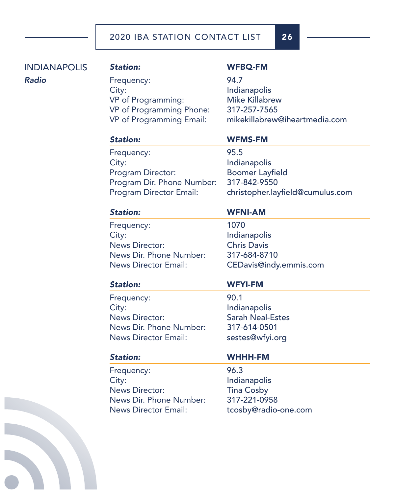| Frequency:<br>City:<br>VP of Programming: | 94.7<br>Indianapolis              |
|-------------------------------------------|-----------------------------------|
|                                           |                                   |
|                                           |                                   |
|                                           | <b>Mike Killabrew</b>             |
| VP of Programming Phone:                  | 317-257-7565                      |
| VP of Programming Email:                  | mikekillabrew@iheartmedia.com     |
| <b>Station:</b>                           | <b>WFMS-FM</b>                    |
|                                           | 95.5                              |
| City:                                     | Indianapolis                      |
| Program Director:                         | <b>Boomer Layfield</b>            |
| Program Dir. Phone Number:                | 317-842-9550                      |
| <b>Program Director Email:</b>            | christopher.layfield@cumulus.com  |
| <b>Station:</b>                           | <b>WFNI-AM</b>                    |
|                                           | 1070                              |
|                                           | Indianapolis                      |
| <b>News Director:</b>                     | <b>Chris Davis</b>                |
| News Dir. Phone Number:                   | 317-684-8710                      |
| <b>News Director Email:</b>               | CEDavis@indy.emmis.com            |
| <b>Station:</b>                           | <b>WFYI-FM</b>                    |
| Frequency:                                | 90.1                              |
| City:                                     | Indianapolis                      |
| <b>News Director:</b>                     | <b>Sarah Neal-Estes</b>           |
| News Dir. Phone Number:                   | 317-614-0501                      |
| <b>News Director Email:</b>               | sestes@wfyi.org                   |
| <b>Station:</b>                           | <b>WHHH-FM</b>                    |
| Frequency:                                | 96.3                              |
| City:                                     | Indianapolis                      |
| <b>News Director:</b>                     | <b>Tina Cosby</b>                 |
| News Dir. Phone Number:                   | 317-221-0958                      |
| <b>News Director Email:</b>               | tcosby@radio-one.com              |
|                                           | Frequency:<br>Frequency:<br>City: |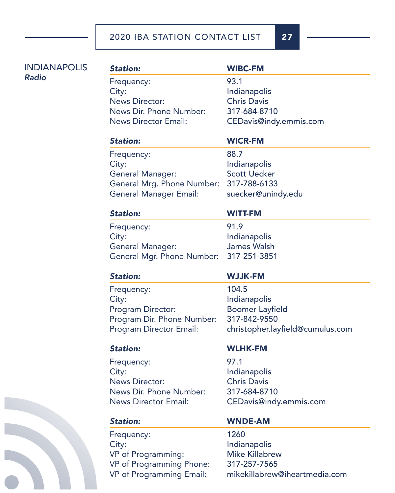| <b>INDIANAPOLIS</b> | <b>Station:</b>                                      | <b>WIBC-FM</b>                                |
|---------------------|------------------------------------------------------|-----------------------------------------------|
| <b>Radio</b>        | Frequency:                                           | 93.1                                          |
|                     | City:                                                | Indianapolis                                  |
|                     | <b>News Director:</b>                                | <b>Chris Davis</b>                            |
|                     | News Dir. Phone Number:                              | 317-684-8710                                  |
|                     | <b>News Director Email:</b>                          | CEDavis@indy.emmis.com                        |
|                     | <b>Station:</b>                                      | <b>WICR-FM</b>                                |
|                     | Frequency:                                           | 88.7                                          |
|                     | City:                                                | Indianapolis                                  |
|                     | <b>General Manager:</b>                              | <b>Scott Uecker</b>                           |
|                     | General Mrg. Phone Number:                           | 317-788-6133                                  |
|                     | <b>General Manager Email:</b>                        | suecker@unindy.edu                            |
|                     | <b>Station:</b>                                      | <b>WITT-FM</b>                                |
|                     | Frequency:                                           | 91.9                                          |
|                     | City:                                                | Indianapolis                                  |
|                     | <b>General Manager:</b>                              | <b>James Walsh</b>                            |
|                     | General Mgr. Phone Number:                           | 317-251-3851                                  |
|                     | <b>Station:</b>                                      | <b>WJJK-FM</b>                                |
|                     |                                                      |                                               |
|                     | Frequency:                                           | 104.5                                         |
|                     | City:                                                | Indianapolis                                  |
|                     | Program Director:                                    | <b>Boomer Layfield</b>                        |
|                     | Program Dir. Phone Number:                           | 317-842-9550                                  |
|                     | Program Director Email:                              | christopher.layfield@cumulus.com              |
|                     | <b>Station:</b>                                      | <b>WLHK-FM</b>                                |
|                     | Frequency:                                           | 97.1                                          |
|                     | City:                                                | Indianapolis                                  |
|                     | <b>News Director:</b>                                | <b>Chris Davis</b>                            |
|                     | News Dir. Phone Number:                              | 317-684-8710                                  |
|                     | <b>News Director Email:</b>                          | CEDavis@indy.emmis.com                        |
|                     | <b>Station:</b>                                      | <b>WNDE-AM</b>                                |
|                     | Frequency:                                           | 1260                                          |
|                     | City:                                                | Indianapolis                                  |
|                     | VP of Programming:                                   | <b>Mike Killabrew</b>                         |
|                     | VP of Programming Phone:<br>VP of Programming Email: | 317-257-7565<br>mikekillabrew@iheartmedia.com |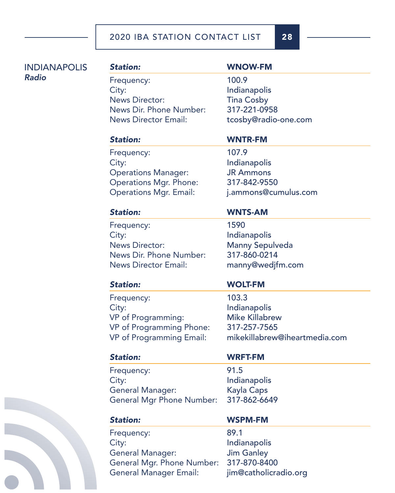# INDIANAPOLIS *Radio*

Frequency: 100.9 City: Indianapolis News Director: Tina Cosby News Dir. Phone Number: 317-221-0958 News Director Email: tcosby@radio-one.com

# *Station:* WNOW-FM

# *Station:* WNTR-FM

Frequency: 107.9 City: Indianapolis Operations Manager: JR Ammons Operations Mgr. Phone: 317-842-9550

Operations Mgr. Email: j.ammons@cumulus.com

## *Station:* WNTS-AM

Frequency: 1590 City: Indianapolis News Director: Manny Sepulveda News Dir. Phone Number: 317-860-0214 News Director Email: manny@wedjfm.com

Frequency: 103.3 City: Indianapolis VP of Programming: Mike Killabrew VP of Programming Phone: 317-257-7565

# *Station:* WOLT-FM

VP of Programming Email: mikekillabrew@iheartmedia.com

Frequency: 91.5 City: Indianapolis General Manager: Kayla Caps General Mgr Phone Number: 317-862-6649

# *Station:* WRFT-FM

Frequency: 89.1 City: **Indianapolis** General Manager: Jim Ganley General Mgr. Phone Number: 317-870-8400 General Manager Email: jim@catholicradio.org

# *Station:* WSPM-FM

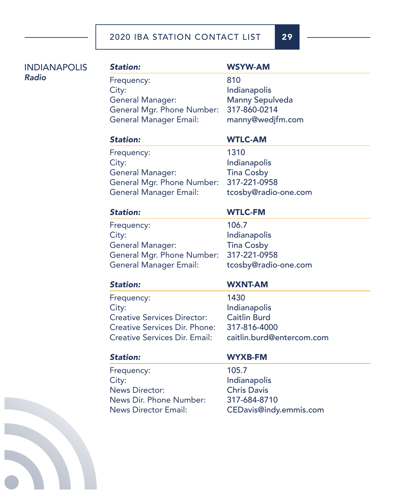INDIANAPOLIS *Radio*

# *Station:* WSYW-AM Frequency: 810 City: Indianapolis General Manager: Manny Sepulveda General Mgr. Phone Number: 317-860-0214 General Manager Email: manny@wedjfm.com

### *Station:* WTLC-AM

Frequency: 1310 City: Indianapolis General Manager: Tina Cosby General Mgr. Phone Number: 317-221-0958 General Manager Email: tcosby@radio-one.com

## *Station:* WTLC-FM

Frequency: 106.7 City: and the state of the local distribution of the local distribution of the local distribution of the local distribution of the local distribution of the local distribution of the local distribution of the local distrib General Manager: Tina Cosby General Mgr. Phone Number: 317-221-0958 General Manager Email: tcosby@radio-one.com

Frequency: 1430 City: Indianapolis Creative Services Director: Caitlin Burd Creative Services Dir. Phone: 317-816-4000 Creative Services Dir. Email: caitlin.burd@entercom.com

# *Station:* WXNT-AM

Frequency: 105.7 City: and the line of the line of the line of the line of the line of the line of the line of the line of the line of the line of the line of the line of the line of the line of the line of the line of the line of the line News Director: Chris Davis News Dir. Phone Number: 317-684-8710

# *Station:* WYXB-FM

News Director Email: CEDavis@indy.emmis.com

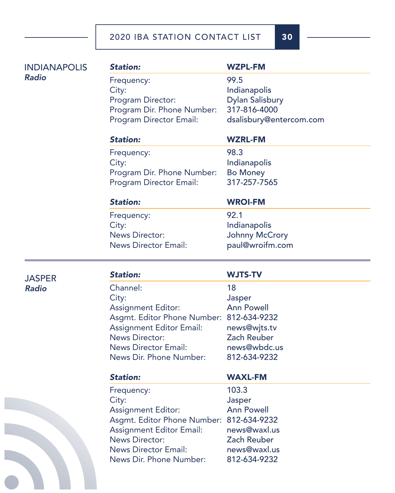*Station:* WZPL-FM Frequency: 99.5 City: **Indianapolis** Program Director: Dylan Salisbury Program Dir. Phone Number: 317-816-4000 Program Director Email: dsalisbury@entercom.com *Station:* WZRL-FM Frequency: 98.3 City: **Indianapolis** Program Dir. Phone Number: Bo Money Program Director Email: 317-257-7565 *Station:* WROI-FM Frequency: 92.1 City: and the state of the local distribution of the local distribution of the local distribution of the local distribution of the local distribution of the local distribution of the local distribution of the local distrib News Director: Johnny McCrory News Director Email: paul@wroifm.com *Station:* WJTS-TV Channel: 18 City: Jasper Assignment Editor: Ann Powell Asgmt. Editor Phone Number: 812-634-9232 Assignment Editor Email: news@wjts.tv INDIANAPOLIS

**JASPER** *Radio*

*Radio*

News Director: Zach Reuber News Director Email: news@wbdc.us News Dir. Phone Number: 812-634-9232 *Station:* WAXL-FM Frequency: 103.3 City: Jasper Assignment Editor: Ann Powell Asgmt. Editor Phone Number: 812-634-9232 Assignment Editor Email: news@waxl.us News Director: Zach Reuber News Director Email: news@waxl.us News Dir. Phone Number: 812-634-9232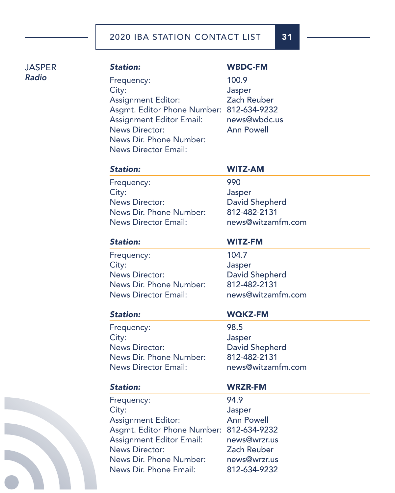**JASPER** *Radio*

# *Station:* WBDC-FM Frequency: 100.9 City: Jasper Assignment Editor: Zach Reuber Asgmt. Editor Phone Number: 812-634-9232 Assignment Editor Email: news@wbdc.us News Director: Ann Powell News Dir. Phone Number: News Director Email:

### *Station:* WITZ-AM

Frequency: 990 City: Jasper News Director: David Shepherd News Dir. Phone Number: 812-482-2131 News Director Email: news@witzamfm.com

### *Station:* WITZ-FM

Frequency: 104.7 City: Jasper News Director: David Shepherd News Dir. Phone Number: 812-482-2131 News Director Email: news@witzamfm.com

### *Station:* WQKZ-FM

Frequency: 98.5 City: Jasper News Director: David Shepherd News Dir. Phone Number: 812-482-2131 News Director Email: news@witzamfm.com

Frequency: 94.9 City: Jasper Assignment Editor: Ann Powell Asgmt. Editor Phone Number: 812-634-9232 Assignment Editor Email: news@wrzr.us News Director: Zach Reuber News Dir. Phone Number: news@wrzr.us News Dir. Phone Email: 812-634-9232

### *Station:* WRZR-FM

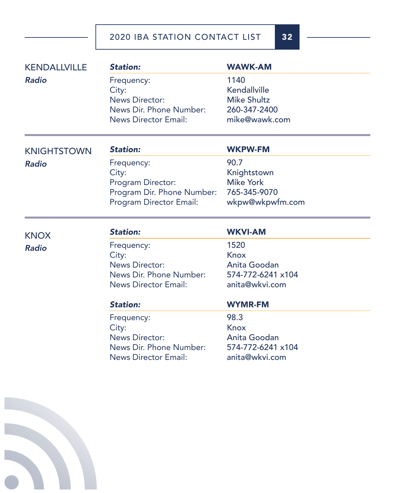| <b>Station:</b>                | <b>WAWK-AM</b>                                                                                       |
|--------------------------------|------------------------------------------------------------------------------------------------------|
| Frequency:                     | 1140                                                                                                 |
| City:                          | Kendallville                                                                                         |
| <b>News Director:</b>          | <b>Mike Shultz</b>                                                                                   |
| News Dir. Phone Number:        | 260-347-2400                                                                                         |
| <b>News Director Email:</b>    | mike@wawk.com                                                                                        |
| <b>Station:</b>                | <b>WKPW-FM</b>                                                                                       |
|                                | 90.7                                                                                                 |
|                                | Knightstown                                                                                          |
| Program Director:              | <b>Mike York</b>                                                                                     |
| Program Dir. Phone Number:     | 765-345-9070                                                                                         |
| <b>Program Director Email:</b> | wkpw@wkpwfm.com                                                                                      |
| <b>Station:</b>                | <b>WKVI-AM</b>                                                                                       |
|                                | 1520                                                                                                 |
|                                | Knox                                                                                                 |
| <b>News Director:</b>          | Anita Goodan                                                                                         |
| News Dir. Phone Number:        | 574-772-6241 x104                                                                                    |
| <b>News Director Email:</b>    | anita@wkvi.com                                                                                       |
| <b>Station:</b>                | <b>WYMR-FM</b>                                                                                       |
| Frequency:                     | 98.3                                                                                                 |
| City:                          | <b>Knox</b>                                                                                          |
| <b>News Director:</b>          | Anita Goodan                                                                                         |
|                                | 574-772-6241 x104                                                                                    |
|                                | anita@wkvi.com                                                                                       |
|                                |                                                                                                      |
|                                |                                                                                                      |
|                                |                                                                                                      |
|                                | Frequency:<br>City:<br>Frequency:<br>City:<br>News Dir. Phone Number:<br><b>News Director Email:</b> |

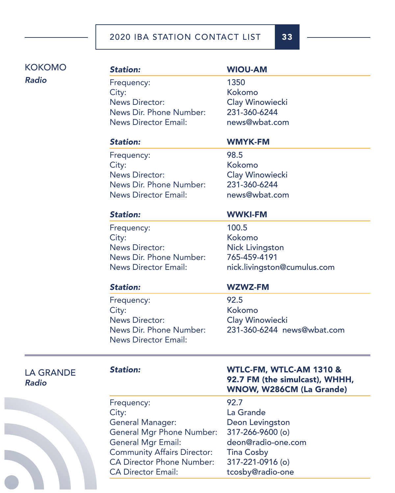# KOKOMO *Radio*

# *Station:* WIOU-AM Frequency: 1350

City: Kokomo News Director: Clay Winowiecki News Dir. Phone Number: 231-360-6244 News Director Email: news@wbat.com

# *Station:* WMYK-FM

Frequency: 98.5 City: Kokomo News Director: Clay Winowiecki News Dir. Phone Number: 231-360-6244 News Director Email: news@wbat.com

Frequency: 100.5 City: Kokomo News Director: Nick Livingston

# *Station:* WWKI-FM

News Dir. Phone Number: 765-459-4191 News Director Email: nick.livingston@cumulus.com

Frequency: 92.5 City: Kokomo News Director: Clay Winowiecki News Director Email:

# *Station:* WZWZ-FM

News Dir. Phone Number: 231-360-6244 news@wbat.com

LA GRANDE *Radio*

Frequency: 92.7 City: La Grande General Manager: Deon Levingston General Mgr Phone Number: 317-266-9600 (o) General Mgr Email: deon@radio-one.com Community Affairs Director: Tina Cosby CA Director Phone Number: 317-221-0916 (o) CA Director Email: tcosby@radio-one

## *Station:* WTLC-FM, WTLC-AM 1310 & 92.7 FM (the simulcast), WHHH, WNOW, W286CM (La Grande)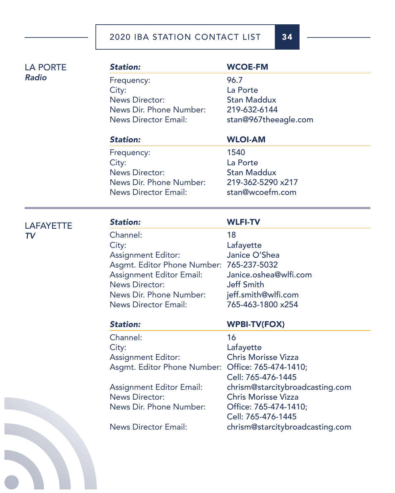| <b>Station:</b>                                   | <b>WCOE-FM</b>                  |
|---------------------------------------------------|---------------------------------|
| Frequency:                                        | 96.7                            |
| City:<br><b>News Director:</b>                    | La Porte<br><b>Stan Maddux</b>  |
| News Dir. Phone Number:                           | 219-632-6144                    |
| <b>News Director Email:</b>                       | stan@967theeagle.com            |
|                                                   |                                 |
| <b>Station:</b>                                   | <b>WLOI-AM</b>                  |
| Frequency:                                        | 1540                            |
| City:                                             | La Porte                        |
| <b>News Director:</b>                             | <b>Stan Maddux</b>              |
| News Dir. Phone Number:                           | 219-362-5290 x217               |
| <b>News Director Email:</b>                       | stan@wcoefm.com                 |
|                                                   |                                 |
| <b>Station:</b>                                   | <b>WLFI-TV</b>                  |
| Channel:                                          | 18                              |
| City:                                             | Lafayette                       |
| <b>Assignment Editor:</b>                         | Janice O'Shea                   |
| Asgmt. Editor Phone Number: 765-237-5032          |                                 |
| <b>Assignment Editor Email:</b>                   | Janice.oshea@wlfi.com           |
| <b>News Director:</b>                             | <b>Jeff Smith</b>               |
| News Dir. Phone Number:                           | jeff.smith@wlfi.com             |
| <b>News Director Email:</b>                       | 765-463-1800 x254               |
| <b>Station:</b>                                   | <b>WPBI-TV(FOX)</b>             |
| Channel:                                          | 16                              |
| City:                                             | Lafayette                       |
| <b>Assignment Editor:</b>                         | <b>Chris Morisse Vizza</b>      |
| Asgmt. Editor Phone Number: Office: 765-474-1410; |                                 |
|                                                   | Cell: 765-476-1445              |
| <b>Assignment Editor Email:</b>                   | chrism@starcitybroadcasting.com |
| <b>News Director:</b>                             | <b>Chris Morisse Vizza</b>      |
| News Dir. Phone Number:                           | Office: 765-474-1410;           |
|                                                   | Cell: 765-476-1445              |
| <b>News Director Email:</b>                       | chrism@starcitybroadcasting.com |
|                                                   |                                 |
|                                                   |                                 |



LA PORTE

LAFAYETTE

*TV*

*Radio*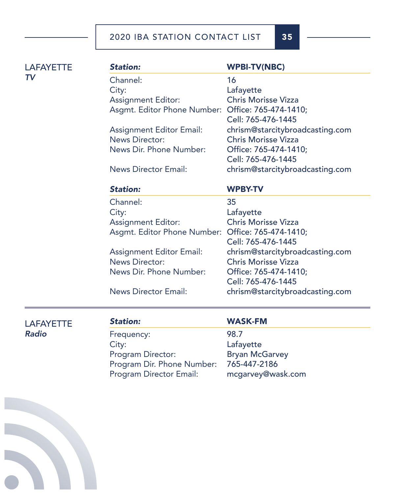*Station:* WPBI-TV(NBC) Channel: 16 City: Lafayette Assignment Editor: Chris Morisse Vizza Asgmt. Editor Phone Number: Office: 765-474-1410; Cell: 765-476-1445 Assignment Editor Email: chrism@starcitybroadcasting.com News Director: Chris Morisse Vizza News Dir. Phone Number: Office: 765-474-1410: Cell: 765-476-1445 News Director Email: chrism@starcitybroadcasting.com *Station:* WPBY-TV Channel: 35 City: Lafayette Assignment Editor: Chris Morisse Vizza Asgmt. Editor Phone Number: Office: 765-474-1410; Cell: 765-476-1445 Assignment Editor Email: chrism@starcitybroadcasting.com News Director: Chris Morisse Vizza News Dir. Phone Number: Office: 765-474-1410; Cell: 765-476-1445 News Director Email: chrism@starcitybroadcasting.com

LAFAYETTE *Radio*

**LAFAYETTE** 

*TV*

Frequency: 98.7 City: Lafayette Program Director: Bryan McGarvey Program Dir. Phone Number: 765-447-2186 Program Director Email: mcgarvey@wask.com

### *Station:* WASK-FM

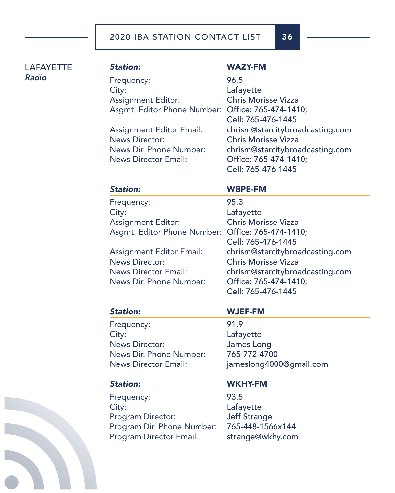| <b>LAFAYETTE</b> | <b>Station:</b>                                   | <b>WAZY-FM</b>                              |
|------------------|---------------------------------------------------|---------------------------------------------|
| <b>Radio</b>     |                                                   |                                             |
|                  | Frequency:                                        | 96.5                                        |
|                  | City:<br><b>Assignment Editor:</b>                | Lafayette<br><b>Chris Morisse Vizza</b>     |
|                  |                                                   | Office: 765-474-1410;                       |
|                  | Asgmt. Editor Phone Number:                       | Cell: 765-476-1445                          |
|                  | <b>Assignment Editor Email:</b>                   | chrism@starcitybroadcasting.com             |
|                  | <b>News Director:</b>                             | <b>Chris Morisse Vizza</b>                  |
|                  | News Dir. Phone Number:                           | chrism@starcitybroadcasting.com             |
|                  | <b>News Director Email:</b>                       | Office: 765-474-1410;                       |
|                  |                                                   | Cell: 765-476-1445                          |
|                  | <b>Station:</b>                                   | <b>WBPE-FM</b>                              |
|                  | Frequency:                                        | 95.3                                        |
|                  | City:                                             | Lafayette                                   |
|                  | <b>Assignment Editor:</b>                         | <b>Chris Morisse Vizza</b>                  |
|                  | Asgmt. Editor Phone Number: Office: 765-474-1410; |                                             |
|                  |                                                   | Cell: 765-476-1445                          |
|                  | <b>Assignment Editor Email:</b>                   | chrism@starcitybroadcasting.com             |
|                  | <b>News Director:</b>                             | <b>Chris Morisse Vizza</b>                  |
|                  | <b>News Director Email:</b>                       | chrism@starcitybroadcasting.com             |
|                  | News Dir. Phone Number:                           | Office: 765-474-1410;<br>Cell: 765-476-1445 |
|                  |                                                   |                                             |
|                  | <b>Station:</b>                                   | <b>WJEF-FM</b>                              |
|                  | Frequency:                                        | 91.9                                        |
|                  | City:                                             | Lafayette                                   |
|                  | <b>News Director:</b>                             | James Long                                  |
|                  | News Dir. Phone Number:                           | 765-772-4700                                |
|                  | <b>News Director Email:</b>                       | jameslong4000@gmail.com                     |
|                  | <b>Station:</b>                                   | <b>WKHY-FM</b>                              |
|                  | Frequency:                                        | 93.5                                        |
|                  | City:                                             | Lafayette                                   |
|                  | Program Director:                                 | <b>Jeff Strange</b>                         |
|                  | Program Dir. Phone Number:                        | 765-448-1566x144                            |
|                  | <b>Program Director Email:</b>                    | strange@wkhy.com                            |
|                  |                                                   |                                             |
|                  |                                                   |                                             |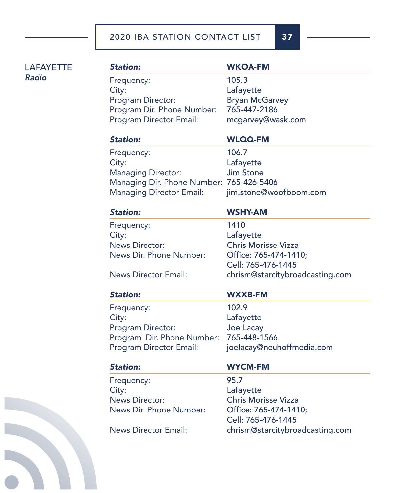| <b>LAFAYETTE</b> | <b>Station:</b>                          | <b>WKOA-FM</b>                  |
|------------------|------------------------------------------|---------------------------------|
| <b>Radio</b>     | Frequency:                               | 105.3                           |
|                  | City:                                    | Lafayette                       |
|                  | Program Director:                        | <b>Bryan McGarvey</b>           |
|                  | Program Dir. Phone Number:               | 765-447-2186                    |
|                  | Program Director Email:                  | mcgarvey@wask.com               |
|                  | <b>Station:</b>                          | <b>WLQQ-FM</b>                  |
|                  | Frequency:                               | 106.7                           |
|                  | City:                                    | Lafayette                       |
|                  | <b>Managing Director:</b>                | <b>Jim Stone</b>                |
|                  | Managing Dir. Phone Number: 765-426-5406 |                                 |
|                  | <b>Managing Director Email:</b>          | jim.stone@woofboom.com          |
|                  | <b>Station:</b>                          | <b>WSHY-AM</b>                  |
|                  | Frequency:                               | 1410                            |
|                  | City:                                    | Lafayette                       |
|                  | <b>News Director:</b>                    | <b>Chris Morisse Vizza</b>      |
|                  | News Dir. Phone Number:                  | Office: 765-474-1410;           |
|                  |                                          | Cell: 765-476-1445              |
|                  | <b>News Director Email:</b>              | chrism@starcitybroadcasting.com |
|                  | <b>Station:</b>                          | <b>WXXB-FM</b>                  |
|                  | Frequency:                               | 102.9                           |
|                  | City:                                    | Lafayette                       |
|                  | Program Director:                        | Joe Lacay                       |
|                  | Program Dir. Phone Number:               | 765-448-1566                    |
|                  | Program Director Email:                  | joelacay@neuhoffmedia.com       |
|                  | <b>Station:</b>                          | <b>WYCM-FM</b>                  |
|                  | Frequency:                               | 95.7                            |
|                  | City:                                    | Lafayette                       |
|                  | <b>News Director:</b>                    | <b>Chris Morisse Vizza</b>      |
|                  | News Dir. Phone Number:                  | Office: 765-474-1410;           |
|                  |                                          | Cell: 765-476-1445              |
|                  | <b>News Director Email:</b>              | chrism@starcitybroadcasting.com |
|                  |                                          |                                 |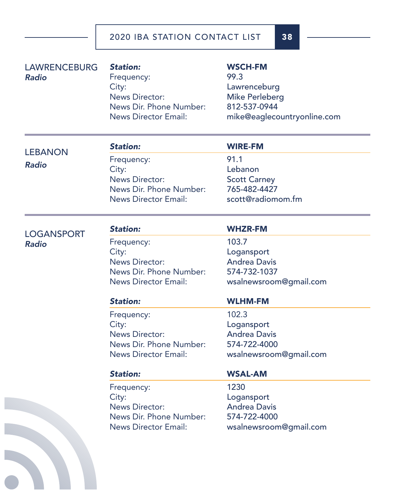| <b>LAWRENCEBURG</b><br>Radio | <b>Station:</b><br>Frequency:<br>City:<br><b>News Director:</b><br>News Dir. Phone Number:<br><b>News Director Email:</b> | <b>WSCH-FM</b><br>99.3<br>Lawrenceburg<br><b>Mike Perleberg</b><br>812-537-0944<br>mike@eaglecountryonline.com |
|------------------------------|---------------------------------------------------------------------------------------------------------------------------|----------------------------------------------------------------------------------------------------------------|
| <b>LEBANON</b>               | <b>Station:</b>                                                                                                           | <b>WIRE-FM</b>                                                                                                 |
|                              | Frequency:                                                                                                                | 91.1                                                                                                           |
| <b>Radio</b>                 | City:                                                                                                                     | Lebanon                                                                                                        |
|                              | <b>News Director:</b>                                                                                                     | <b>Scott Carney</b>                                                                                            |
|                              | News Dir. Phone Number:                                                                                                   | 765-482-4427                                                                                                   |
|                              | <b>News Director Email:</b>                                                                                               | scott@radiomom.fm                                                                                              |
| <b>LOGANSPORT</b>            | <b>Station:</b>                                                                                                           | <b>WHZR-FM</b>                                                                                                 |
| <b>Radio</b>                 | Frequency:                                                                                                                | 103.7                                                                                                          |
|                              | City:                                                                                                                     | Logansport                                                                                                     |
|                              | <b>News Director:</b>                                                                                                     | <b>Andrea Davis</b>                                                                                            |
|                              | News Dir. Phone Number:                                                                                                   | 574-732-1037                                                                                                   |
|                              | <b>News Director Email:</b>                                                                                               | wsalnewsroom@gmail.com                                                                                         |
|                              | <b>Station:</b>                                                                                                           | <b>WLHM-FM</b>                                                                                                 |
|                              | Frequency:                                                                                                                | 102.3                                                                                                          |
|                              | City:                                                                                                                     | Logansport                                                                                                     |
|                              | <b>News Director:</b>                                                                                                     | <b>Andrea Davis</b>                                                                                            |
|                              | News Dir. Phone Number:                                                                                                   | 574-722-4000                                                                                                   |
|                              | <b>News Director Email:</b>                                                                                               | wsalnewsroom@gmail.com                                                                                         |
|                              | <b>Station:</b>                                                                                                           | <b>WSAL-AM</b>                                                                                                 |
|                              | Frequency:                                                                                                                | 1230                                                                                                           |
|                              | City:                                                                                                                     | Logansport                                                                                                     |
|                              | <b>News Director:</b>                                                                                                     | <b>Andrea Davis</b>                                                                                            |
|                              | News Dir. Phone Number:                                                                                                   | 574-722-4000                                                                                                   |
|                              |                                                                                                                           |                                                                                                                |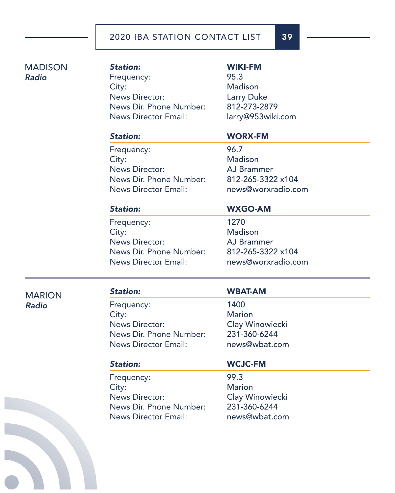## MADISON *Radio*

*Station:* WIKI-FM Frequency: 95.3 City: Madison News Director: Larry Duke News Dir. Phone Number: 812-273-2879 News Director Email: larry@953wiki.com

Frequency: 96.7 City: Madison News Director: AJ Brammer News Dir. Phone Number: 812-265-3322 x104 News Director Email: news@worxradio.com

### *Station:* WORX-FM

Frequency: 1270 City: Madison News Director: AJ Brammer News Dir. Phone Number: 812-265-3322 x104 News Director Email: news@worxradio.com

# *Station:* WXGO-AM

# MARION *Radio*

# *Station:* WBAT-AM

Frequency: 1400 City: Marion News Director: Clay Winowiecki News Dir. Phone Number: 231-360-6244 News Director Email: news@wbat.com

Frequency: 99.3 City: Marion News Director: Clay Winowiecki News Dir. Phone Number: 231-360-6244 News Director Email: news@wbat.com

### *Station:* WCJC-FM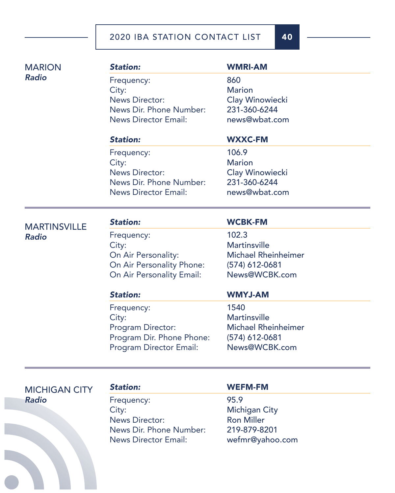| <b>MARION</b>                       | <b>Station:</b>                | <b>WMRI-AM</b>             |
|-------------------------------------|--------------------------------|----------------------------|
| <b>Radio</b>                        | Frequency:                     | 860                        |
|                                     | City:                          | <b>Marion</b>              |
|                                     | <b>News Director:</b>          | <b>Clay Winowiecki</b>     |
|                                     | News Dir. Phone Number:        | 231-360-6244               |
|                                     | <b>News Director Email:</b>    | news@wbat.com              |
|                                     | <b>Station:</b>                | <b>WXXC-FM</b>             |
|                                     | Frequency:                     | 106.9                      |
|                                     | City:                          | <b>Marion</b>              |
|                                     | <b>News Director:</b>          | Clay Winowiecki            |
|                                     | News Dir. Phone Number:        | 231-360-6244               |
|                                     | <b>News Director Email:</b>    | news@wbat.com              |
|                                     | <b>Station:</b>                | <b>WCBK-FM</b>             |
| <b>MARTINSVILLE</b><br><b>Radio</b> | Frequency:                     | 102.3                      |
|                                     | City:                          | <b>Martinsville</b>        |
|                                     | On Air Personality:            | <b>Michael Rheinheimer</b> |
|                                     | On Air Personality Phone:      | $(574)$ 612-0681           |
|                                     | On Air Personality Email:      | News@WCBK.com              |
|                                     | <b>Station:</b>                | <b>WMYJ-AM</b>             |
|                                     | Frequency:                     | 1540                       |
|                                     | City:                          | <b>Martinsville</b>        |
|                                     | Program Director:              | <b>Michael Rheinheimer</b> |
|                                     | Program Dir. Phone Phone:      | (574) 612-0681             |
|                                     | <b>Program Director Email:</b> | News@WCBK.com              |
|                                     |                                |                            |
| <b>MICHIGAN CITY</b>                | <b>Station:</b>                | <b>WEFM-FM</b>             |
| Radio                               | Frequency:                     | 95.9                       |
|                                     | City:                          | <b>Michigan City</b>       |
|                                     | <b>News Director:</b>          | <b>Ron Miller</b>          |
|                                     | News Dir. Phone Number:        | 219-879-8201               |
|                                     | <b>News Director Email:</b>    | wefmr@yahoo.com            |
|                                     |                                |                            |
|                                     |                                |                            |
|                                     |                                |                            |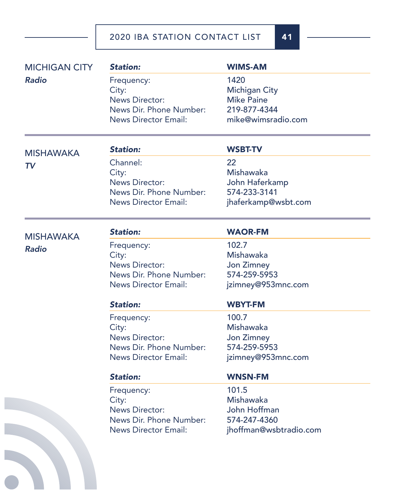| <b>Radio</b>     |                             |                        |
|------------------|-----------------------------|------------------------|
|                  | Frequency:                  | 1420                   |
|                  | City:                       | <b>Michigan City</b>   |
|                  | <b>News Director:</b>       | <b>Mike Paine</b>      |
|                  | News Dir. Phone Number:     | 219-877-4344           |
|                  | <b>News Director Email:</b> | mike@wimsradio.com     |
| <b>MISHAWAKA</b> | <b>Station:</b>             | <b>WSBT-TV</b>         |
| TV               | Channel:                    | 22                     |
|                  | City:                       | Mishawaka              |
|                  | <b>News Director:</b>       | John Haferkamp         |
|                  | News Dir. Phone Number:     | 574-233-3141           |
|                  | <b>News Director Email:</b> | jhaferkamp@wsbt.com    |
| <b>MISHAWAKA</b> | <b>Station:</b>             | <b>WAOR-FM</b>         |
|                  | Frequency:                  | 102.7                  |
| <b>Radio</b>     | City:                       | Mishawaka              |
|                  | <b>News Director:</b>       | Jon Zimney             |
|                  | News Dir. Phone Number:     | 574-259-5953           |
|                  | <b>News Director Email:</b> | jzimney@953mnc.com     |
|                  | <b>Station:</b>             | <b>WBYT-FM</b>         |
|                  | Frequency:                  | 100.7                  |
|                  | City:                       | Mishawaka              |
|                  | <b>News Director:</b>       | Jon Zimney             |
|                  | News Dir. Phone Number:     | 574-259-5953           |
|                  | <b>News Director Email:</b> | jzimney@953mnc.com     |
|                  | <b>Station:</b>             | <b>WNSN-FM</b>         |
|                  | Frequency:                  | 101.5                  |
|                  | City:                       | Mishawaka              |
|                  | <b>News Director:</b>       | John Hoffman           |
|                  | News Dir. Phone Number:     | 574-247-4360           |
|                  | <b>News Director Email:</b> | jhoffman@wsbtradio.com |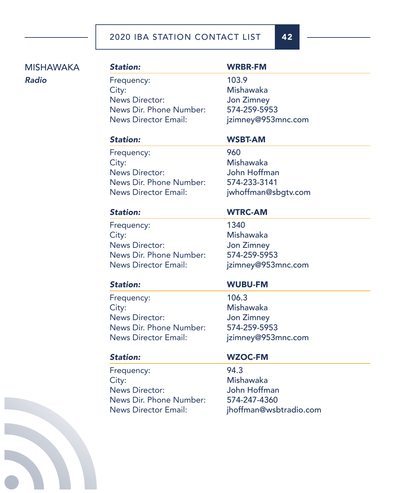# MISHAWAKA *Radio*

Frequency: 103.9 City: Mishawaka News Director: Jon Zimney News Dir. Phone Number: 574-259-5953 News Director Email: jzimney@953mnc.com

# *Station:* WRBR-FM

Frequency: 960 City: Mishawaka News Director: John Hoffman News Dir. Phone Number: 574-233-3141 News Director Email: jwhoffman@sbgtv.com

# *Station:* WSBT-AM

# *Station:* WTRC-AM

Frequency: 1340 City: Mishawaka News Director: Jon Zimney News Dir. Phone Number: 574-259-5953 News Director Email: jzimney@953mnc.com

Frequency: 106.3 City: Mishawaka News Director: Jon Zimney News Dir. Phone Number: 574-259-5953 News Director Email: jzimney@953mnc.com

Frequency: 94.3 City: Mishawaka News Director: John Hoffman News Dir. Phone Number: 574-247-4360

# *Station:* WUBU-FM

# *Station:* WZOC-FM

News Director Email: jhoffman@wsbtradio.com

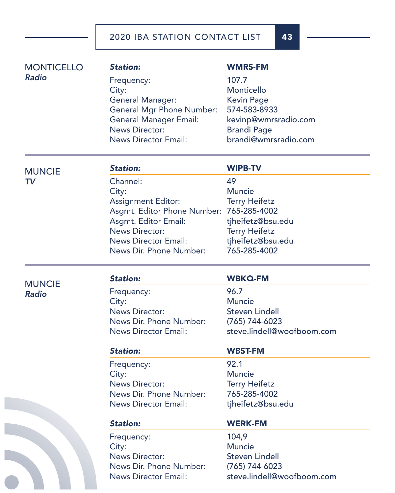| <b>MONTICELLO</b><br>Radio | <b>Station:</b>                  | <b>WMRS-FM</b>             |
|----------------------------|----------------------------------|----------------------------|
|                            | Frequency:                       | 107.7                      |
|                            | City:                            | Monticello                 |
|                            | General Manager:                 | <b>Kevin Page</b>          |
|                            | <b>General Mgr Phone Number:</b> | 574-583-8933               |
|                            | <b>General Manager Email:</b>    | kevinp@wmrsradio.com       |
|                            | <b>News Director:</b>            | <b>Brandi Page</b>         |
|                            | <b>News Director Email:</b>      | brandi@wmrsradio.com       |
| <b>MUNCIE</b>              | <b>Station:</b>                  | <b>WIPB-TV</b>             |
| TV.                        | Channel:                         | 49                         |
|                            | City:                            | <b>Muncie</b>              |
|                            | <b>Assignment Editor:</b>        | <b>Terry Heifetz</b>       |
|                            | Asgmt. Editor Phone Number:      | 765-285-4002               |
|                            | Asgmt. Editor Email:             | tjheifetz@bsu.edu          |
|                            | <b>News Director:</b>            | <b>Terry Heifetz</b>       |
|                            | <b>News Director Email:</b>      | tjheifetz@bsu.edu          |
|                            | News Dir. Phone Number:          | 765-285-4002               |
| <b>MUNCIE</b>              | <b>Station:</b>                  | <b>WBKQ-FM</b>             |
| <b>Radio</b>               | Frequency:                       | 96.7                       |
|                            | City:                            | <b>Muncie</b>              |
|                            | <b>News Director:</b>            | <b>Steven Lindell</b>      |
|                            | News Dir. Phone Number:          | $(765)$ 744-6023           |
|                            | <b>News Director Email:</b>      | steve.lindell@woofboom.com |
|                            | <b>Station:</b>                  | <b>WBST-FM</b>             |
|                            | Frequency:                       | 92.1                       |
|                            | City:                            | <b>Muncie</b>              |
|                            | <b>News Director:</b>            | <b>Terry Heifetz</b>       |
|                            | News Dir. Phone Number:          | 765-285-4002               |
|                            | <b>News Director Email:</b>      | tjheifetz@bsu.edu          |
|                            | <b>Station:</b>                  | <b>WERK-FM</b>             |
|                            | Frequency:                       | 104,9                      |
|                            | City:                            | <b>Muncie</b>              |
|                            | <b>News Director:</b>            | <b>Steven Lindell</b>      |
|                            | News Dir. Phone Number:          | $(765)$ 744-6023           |
|                            | <b>News Director Email:</b>      | steve.lindell@woofboom.com |

 $\bullet$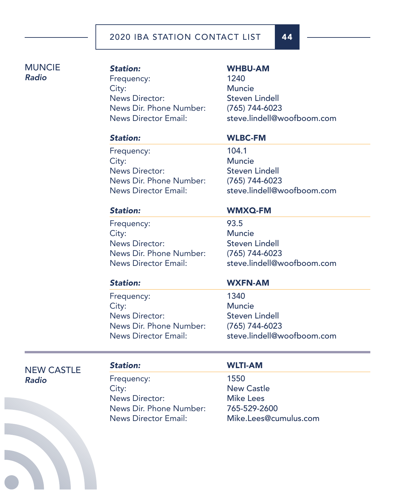# MUNCIE *Radio*

# *Station:* WHBU-AM Frequency: 1240 City: Muncie News Director: Steven Lindell News Dir. Phone Number: (765) 744-6023

News Director Email: steve.lindell@woofboom.com

Frequency: 104.1 City: Muncie News Director: Steven Lindell News Dir. Phone Number: (765) 744-6023

### *Station:* WLBC-FM

News Director Email: steve.lindell@woofboom.com

Frequency: 93.5 City: Muncie News Director: Steven Lindell News Dir. Phone Number: (765) 744-6023

### *Station:* WMXQ-FM

News Director Email: steve.lindell@woofboom.com

Frequency: 1340 City: Muncie News Director: Steven Lindell News Dir. Phone Number: (765) 744-6023

### *Station:* WXFN-AM

News Director Email: steve.lindell@woofboom.com

NEW CASTLE *Radio*

Frequency: 1550 City: New Castle News Director: Mike Lees News Dir. Phone Number: 765-529-2600

### *Station:* WLTI-AM

News Director Email: Mike.Lees@cumulus.com

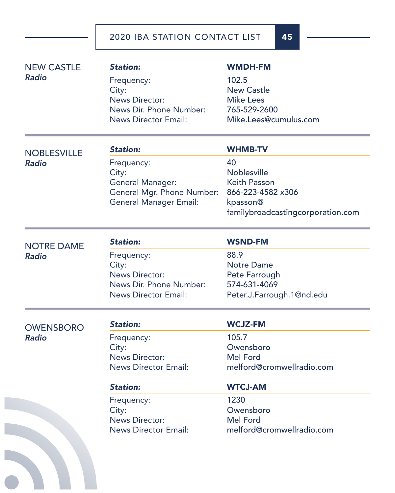| <b>NEW CASTLE</b>  | <b>Station:</b>               | <b>WMDH-FM</b>                    |
|--------------------|-------------------------------|-----------------------------------|
| <b>Radio</b>       | Frequency:                    | 102.5                             |
|                    | City:                         | <b>New Castle</b>                 |
|                    | <b>News Director:</b>         | <b>Mike Lees</b>                  |
|                    | News Dir. Phone Number:       | 765-529-2600                      |
|                    | <b>News Director Email:</b>   | Mike.Lees@cumulus.com             |
| <b>NOBLESVILLE</b> | <b>Station:</b>               | <b>WHMB-TV</b>                    |
| <b>Radio</b>       | Frequency:                    | 40                                |
|                    | City:                         | <b>Noblesville</b>                |
|                    | <b>General Manager:</b>       | <b>Keith Passon</b>               |
|                    | General Mgr. Phone Number:    | 866-223-4582 x306                 |
|                    | <b>General Manager Email:</b> | kpasson@                          |
|                    |                               | familybroadcastingcorporation.com |
| <b>NOTRE DAME</b>  | <b>Station:</b>               | <b>WSND-FM</b>                    |
| <b>Radio</b>       | Frequency:                    | 88.9                              |
|                    | City:                         | <b>Notre Dame</b>                 |
|                    | <b>News Director:</b>         | Pete Farrough                     |
|                    | News Dir. Phone Number:       | 574-631-4069                      |
|                    | <b>News Director Email:</b>   | Peter.J.Farrough.1@nd.edu         |
| <b>OWENSBORO</b>   | <b>Station:</b>               | <b>WCJZ-FM</b>                    |
| <b>Radio</b>       | Frequency:                    | 105.7                             |
|                    | City:                         | Owensboro                         |
|                    | <b>News Director:</b>         | <b>Mel Ford</b>                   |
|                    | <b>News Director Email:</b>   | melford@cromwellradio.com         |
|                    | <b>Station:</b>               | <b>WTCJ-AM</b>                    |
|                    | Frequency:                    | 1230                              |
|                    | City:                         | Owensboro                         |
|                    | <b>News Director:</b>         | <b>Mel Ford</b>                   |
|                    | <b>News Director Email:</b>   | melford@cromwellradio.com         |
|                    |                               |                                   |
|                    |                               |                                   |
|                    |                               |                                   |
|                    |                               |                                   |
|                    |                               |                                   |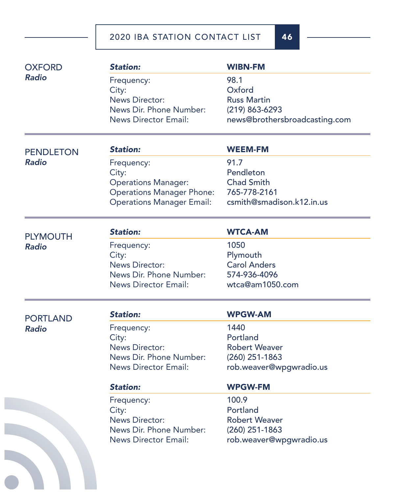| <b>OXFORD</b>    | <b>Station:</b>                  | <b>WIBN-FM</b>                |
|------------------|----------------------------------|-------------------------------|
| <b>Radio</b>     | Frequency:                       | 98.1                          |
|                  | City:                            | Oxford                        |
|                  | <b>News Director:</b>            | <b>Russ Martin</b>            |
|                  | News Dir. Phone Number:          | $(219) 863 - 6293$            |
|                  | <b>News Director Email:</b>      | news@brothersbroadcasting.com |
| <b>PENDLETON</b> | <b>Station:</b>                  | <b>WEEM-FM</b>                |
| <b>Radio</b>     | Frequency:                       | 91.7                          |
|                  | City:                            | Pendleton                     |
|                  | <b>Operations Manager:</b>       | <b>Chad Smith</b>             |
|                  | <b>Operations Manager Phone:</b> | 765-778-2161                  |
|                  | <b>Operations Manager Email:</b> | csmith@smadison.k12.in.us     |
| <b>PLYMOUTH</b>  | <b>Station:</b>                  | <b>WTCA-AM</b>                |
| <b>Radio</b>     | Frequency:                       | 1050                          |
|                  | City:                            | Plymouth                      |
|                  | <b>News Director:</b>            | <b>Carol Anders</b>           |
|                  | News Dir. Phone Number:          | 574-936-4096                  |
|                  | <b>News Director Email:</b>      | wtca@am1050.com               |
| <b>PORTLAND</b>  | <b>Station:</b>                  | <b>WPGW-AM</b>                |
| <b>Radio</b>     | Frequency:                       | 1440                          |
|                  | City:                            | Portland                      |
|                  | <b>News Director:</b>            | <b>Robert Weaver</b>          |
|                  | News Dir. Phone Number:          | $(260)$ 251-1863              |
|                  | News Director Email:             | rob.weaver@wpgwradio.us       |
|                  | <b>Station:</b>                  | <b>WPGW-FM</b>                |
|                  | Frequency:                       | 100.9                         |
|                  | City:                            | Portland                      |
|                  | <b>News Director:</b>            | <b>Robert Weaver</b>          |
|                  | News Dir. Phone Number:          | $(260)$ 251-1863              |
|                  | <b>News Director Email:</b>      | rob.weaver@wpgwradio.us       |
|                  |                                  |                               |
|                  |                                  |                               |
|                  |                                  |                               |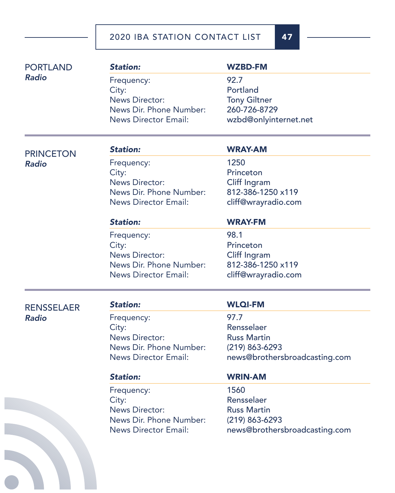| <b>PORTLAND</b>   | <b>Station:</b>             | <b>WZBD-FM</b>                |
|-------------------|-----------------------------|-------------------------------|
| <b>Radio</b>      | Frequency:                  | 92.7                          |
|                   | City:                       | Portland                      |
|                   | <b>News Director:</b>       | <b>Tony Giltner</b>           |
|                   | News Dir. Phone Number:     | 260-726-8729                  |
|                   | <b>News Director Email:</b> | wzbd@onlyinternet.net         |
| <b>PRINCETON</b>  | <b>Station:</b>             | <b>WRAY-AM</b>                |
| <b>Radio</b>      | Frequency:                  | 1250                          |
|                   | City:                       | Princeton                     |
|                   | <b>News Director:</b>       | Cliff Ingram                  |
|                   | News Dir. Phone Number:     | 812-386-1250 x119             |
|                   | <b>News Director Email:</b> | cliff@wrayradio.com           |
|                   | <b>Station:</b>             | <b>WRAY-FM</b>                |
|                   | Frequency:                  | 98.1                          |
|                   | City:                       | Princeton                     |
|                   | <b>News Director:</b>       | Cliff Ingram                  |
|                   | News Dir. Phone Number:     | 812-386-1250 x119             |
|                   | <b>News Director Email:</b> | cliff@wrayradio.com           |
| <b>RENSSELAER</b> | <b>Station:</b>             | <b>WLQI-FM</b>                |
| <b>Radio</b>      | Frequency:                  | 97.7                          |
|                   | City:                       | Rensselaer                    |
|                   | <b>News Director:</b>       | <b>Russ Martin</b>            |
|                   | News Dir. Phone Number:     | $(219) 863 - 6293$            |
|                   | <b>News Director Email:</b> | news@brothersbroadcasting.com |
|                   | <b>Station:</b>             | <b>WRIN-AM</b>                |
|                   | Frequency:                  | 1560                          |
|                   | City:                       | Rensselaer                    |
|                   | <b>News Director:</b>       | <b>Russ Martin</b>            |
|                   | News Dir. Phone Number:     | $(219) 863 - 6293$            |
|                   | <b>News Director Email:</b> | news@brothersbroadcasting.com |
|                   |                             |                               |
|                   |                             |                               |
|                   |                             |                               |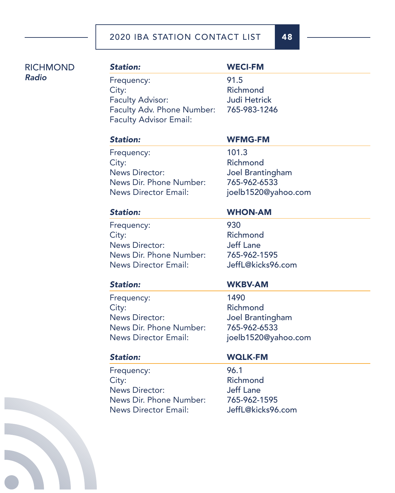| <b>RICHMOND</b> | <b>Station:</b>               | <b>WECI-FM</b>      |
|-----------------|-------------------------------|---------------------|
| <b>Radio</b>    | Frequency:                    | 91.5                |
|                 | City:                         | Richmond            |
|                 | <b>Faculty Advisor:</b>       | <b>Judi Hetrick</b> |
|                 | Faculty Adv. Phone Number:    | 765-983-1246        |
|                 | <b>Faculty Advisor Email:</b> |                     |
|                 | <b>Station:</b>               | <b>WFMG-FM</b>      |
|                 | Frequency:                    | 101.3               |
|                 | City:                         | Richmond            |
|                 | <b>News Director:</b>         | Joel Brantingham    |
|                 | News Dir. Phone Number:       | 765-962-6533        |
|                 | <b>News Director Email:</b>   | joelb1520@yahoo.com |
|                 | <b>Station:</b>               | <b>WHON-AM</b>      |
|                 | Frequency:                    | 930                 |
|                 | City:                         | Richmond            |
|                 | <b>News Director:</b>         | <b>Jeff Lane</b>    |
|                 | News Dir. Phone Number:       | 765-962-1595        |
|                 | <b>News Director Email:</b>   | JeffL@kicks96.com   |
|                 | <b>Station:</b>               | <b>WKBV-AM</b>      |
|                 | Frequency:                    | 1490                |
|                 | City:                         | Richmond            |
|                 | <b>News Director:</b>         | Joel Brantingham    |
|                 | News Dir. Phone Number:       | 765-962-6533        |
|                 | <b>News Director Email:</b>   | joelb1520@yahoo.com |
|                 | <b>Station:</b>               | <b>WQLK-FM</b>      |
|                 | Frequency:                    | 96.1                |
|                 | City:                         | Richmond            |
|                 | <b>News Director:</b>         | <b>Jeff Lane</b>    |
|                 | News Dir. Phone Number:       | 765-962-1595        |
|                 | <b>News Director Email:</b>   | JeffL@kicks96.com   |
|                 |                               |                     |
|                 |                               |                     |
|                 |                               |                     |
|                 |                               |                     |
|                 |                               |                     |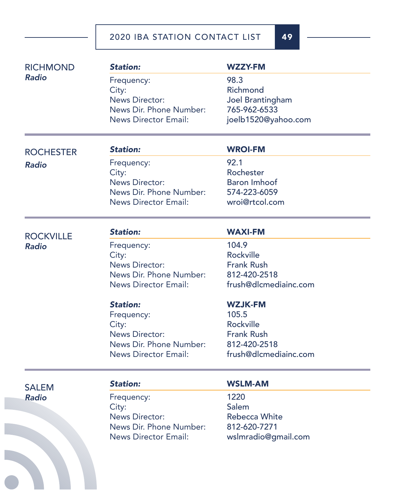| <b>RICHMOND</b>  | <b>Station:</b>             | <b>WZZY-FM</b>        |
|------------------|-----------------------------|-----------------------|
| <b>Radio</b>     | Frequency:                  | 98.3                  |
|                  | City:                       | Richmond              |
|                  | <b>News Director:</b>       | Joel Brantingham      |
|                  | News Dir. Phone Number:     | 765-962-6533          |
|                  | <b>News Director Email:</b> | joelb1520@yahoo.com   |
| <b>ROCHESTER</b> | <b>Station:</b>             | <b>WROI-FM</b>        |
| <b>Radio</b>     | Frequency:                  | 92.1                  |
|                  | City:                       | Rochester             |
|                  | <b>News Director:</b>       | <b>Baron Imhoof</b>   |
|                  | News Dir. Phone Number:     | 574-223-6059          |
|                  | <b>News Director Email:</b> | wroi@rtcol.com        |
| <b>ROCKVILLE</b> | <b>Station:</b>             | <b>WAXI-FM</b>        |
| <b>Radio</b>     | Frequency:                  | 104.9                 |
|                  | City:                       | <b>Rockville</b>      |
|                  | <b>News Director:</b>       | <b>Frank Rush</b>     |
|                  | News Dir. Phone Number:     | 812-420-2518          |
|                  | <b>News Director Email:</b> | frush@dlcmediainc.com |
|                  | <b>Station:</b>             | <b>WZJK-FM</b>        |
|                  | Frequency:                  | 105.5                 |
|                  | City:                       | <b>Rockville</b>      |
|                  | <b>News Director:</b>       | <b>Frank Rush</b>     |
|                  | News Dir. Phone Number:     | 812-420-2518          |
|                  | <b>News Director Email:</b> | frush@dlcmediainc.com |
| <b>SALEM</b>     | <b>Station:</b>             | <b>WSLM-AM</b>        |
| <b>Radio</b>     | Frequency:                  | 1220                  |
|                  | City:                       | Salem                 |
|                  | <b>News Director:</b>       | <b>Rebecca White</b>  |
|                  | News Dir. Phone Number:     | 812-620-7271          |
|                  | <b>News Director Email:</b> | wslmradio@gmail.com   |
|                  |                             |                       |
|                  |                             |                       |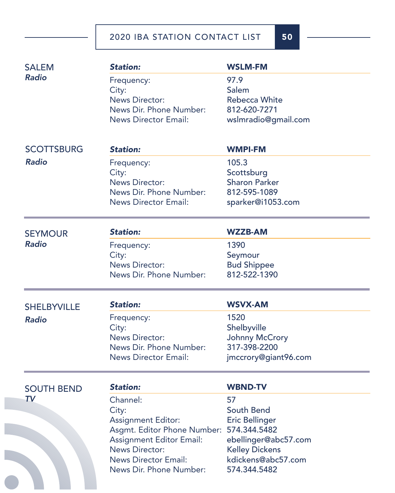| <b>SALEM</b><br><b>Radio</b> | <b>Station:</b><br>Frequency:<br>City:<br><b>News Director:</b><br>News Dir. Phone Number:<br><b>News Director Email:</b>                                                                    | <b>WSLM-FM</b><br>97.9<br>Salem<br><b>Rebecca White</b><br>812-620-7271<br>wslmradio@gmail.com                                                   |
|------------------------------|----------------------------------------------------------------------------------------------------------------------------------------------------------------------------------------------|--------------------------------------------------------------------------------------------------------------------------------------------------|
| <b>SCOTTSBURG</b>            | <b>Station:</b>                                                                                                                                                                              | <b>WMPI-FM</b>                                                                                                                                   |
| <b>Radio</b>                 | Frequency:<br>City:<br><b>News Director:</b><br>News Dir. Phone Number:<br><b>News Director Email:</b>                                                                                       | 105.3<br>Scottsburg<br><b>Sharon Parker</b><br>812-595-1089<br>sparker@i1053.com                                                                 |
| <b>SEYMOUR</b>               | <b>Station:</b>                                                                                                                                                                              | <b>WZZB-AM</b>                                                                                                                                   |
| <b>Radio</b>                 | Frequency:<br>City:<br><b>News Director:</b><br>News Dir. Phone Number:                                                                                                                      | 1390<br>Seymour<br><b>Bud Shippee</b><br>812-522-1390                                                                                            |
| <b>SHELBYVILLE</b>           | <b>Station:</b>                                                                                                                                                                              | <b>WSVX-AM</b>                                                                                                                                   |
| <b>Radio</b>                 | Frequency:<br>City:<br><b>News Director:</b><br>News Dir. Phone Number:<br><b>News Director Email:</b>                                                                                       | 1520<br>Shelbyville<br>Johnny McCrory<br>317-398-2200<br>jmccrory@giant96.com                                                                    |
| <b>SOUTH BEND</b>            | <b>Station:</b>                                                                                                                                                                              | <b>WBND-TV</b>                                                                                                                                   |
| <b>TV</b>                    | Channel:<br>City:<br><b>Assignment Editor:</b><br>Asgmt. Editor Phone Number:<br>Assignment Editor Email:<br><b>News Director:</b><br><b>News Director Email:</b><br>News Dir. Phone Number: | 57<br>South Bend<br><b>Eric Bellinger</b><br>574.344.5482<br>ebellinger@abc57.com<br><b>Kelley Dickens</b><br>kdickens@abc57.com<br>574.344.5482 |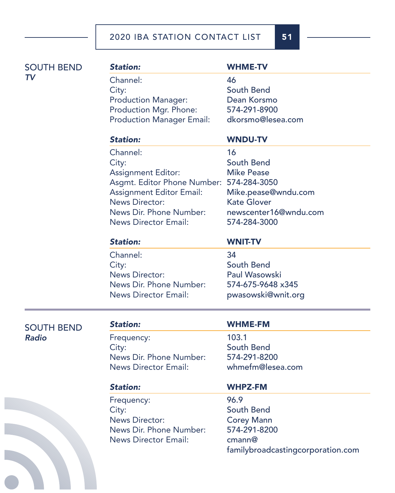| <b>SOUTH BEND</b> | <b>Station:</b>                          | <b>WHME-TV</b>                    |
|-------------------|------------------------------------------|-----------------------------------|
| <b>TV</b>         | Channel:                                 | 46                                |
|                   | City:                                    | South Bend                        |
|                   | <b>Production Manager:</b>               | Dean Korsmo                       |
|                   | Production Mgr. Phone:                   | 574-291-8900                      |
|                   | <b>Production Manager Email:</b>         | dkorsmo@lesea.com                 |
|                   | <b>Station:</b>                          | <b>WNDU-TV</b>                    |
|                   | Channel:                                 | 16                                |
|                   | City:                                    | South Bend                        |
|                   | <b>Assignment Editor:</b>                | <b>Mike Pease</b>                 |
|                   | Asgmt. Editor Phone Number: 574-284-3050 |                                   |
|                   | <b>Assignment Editor Email:</b>          | Mike.pease@wndu.com               |
|                   | <b>News Director:</b>                    | <b>Kate Glover</b>                |
|                   | News Dir. Phone Number:                  | newscenter16@wndu.com             |
|                   | <b>News Director Email:</b>              | 574-284-3000                      |
|                   | <b>Station:</b>                          | <b>WNIT-TV</b>                    |
|                   | Channel:                                 | 34                                |
|                   | City:                                    | South Bend                        |
|                   | <b>News Director:</b>                    | <b>Paul Wasowski</b>              |
|                   | News Dir. Phone Number:                  | 574-675-9648 x345                 |
|                   | <b>News Director Email:</b>              | pwasowski@wnit.org                |
| <b>SOUTH BEND</b> | <b>Station:</b>                          | <b>WHME-FM</b>                    |
| <b>Radio</b>      | Frequency:                               | 103.1                             |
|                   | City:                                    | South Bend                        |
|                   | News Dir. Phone Number:                  | 574-291-8200                      |
|                   | <b>News Director Email:</b>              | whmefm@lesea.com                  |
|                   | <b>Station:</b>                          | <b>WHPZ-FM</b>                    |
|                   | Frequency:                               | 96.9                              |
|                   | City:                                    | South Bend                        |
|                   | <b>News Director:</b>                    | <b>Corey Mann</b>                 |
|                   | News Dir. Phone Number:                  | 574-291-8200                      |
|                   | <b>News Director Email:</b>              | cmann@                            |
|                   |                                          | familybroadcastingcorporation.com |
|                   |                                          |                                   |
|                   |                                          |                                   |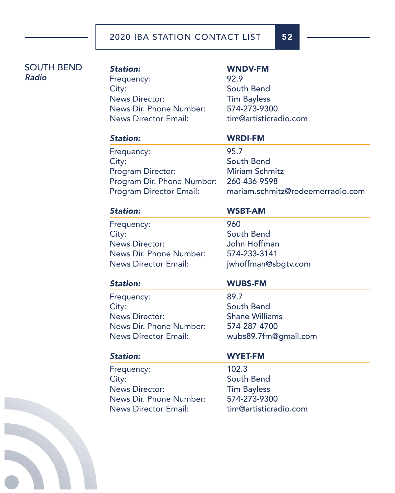## SOUTH BEND *Radio*

# *Station:* WNDV-FM Frequency: 92.9 City: South Bend News Director: Tim Bayless News Dir. Phone Number: 574-273-9300 News Director Email: tim@artisticradio.com

### *Station:* WRDI-FM

Frequency: 95.7 City: South Bend Program Director: Miriam Schmitz Program Dir. Phone Number: 260-436-9598

Program Director Email: mariam.schmitz@redeemerradio.com

Frequency: 960 City: South Bend News Director: John Hoffman News Dir. Phone Number: 574-233-3141 News Director Email: jwhoffman@sbgtv.com

## *Station:* WSBT-AM

Frequency: 89.7 City: South Bend News Director: Shane Williams News Dir. Phone Number: 574-287-4700 News Director Email: wubs89.7fm@gmail.com

# *Station:* WUBS-FM

Frequency: 102.3 City: South Bend News Director: Tim Bayless News Dir. Phone Number: 574-273-9300 News Director Email: tim@artisticradio.com

### *Station:* WYET-FM

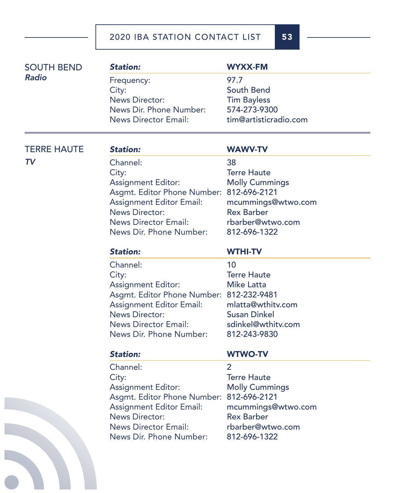| <b>SOUTH BEND</b>  | <b>Station:</b>                          | <b>WYXX-FM</b>                          |
|--------------------|------------------------------------------|-----------------------------------------|
| <b>Radio</b>       | Frequency:                               | 97.7                                    |
|                    | City:                                    | South Bend                              |
|                    | <b>News Director:</b>                    | <b>Tim Bayless</b>                      |
|                    | News Dir. Phone Number:                  | 574-273-9300                            |
|                    | <b>News Director Email:</b>              | tim@artisticradio.com                   |
| <b>TERRE HAUTE</b> | <b>Station:</b>                          | <b>WAWV-TV</b>                          |
| <b>TV</b>          | Channel:                                 | 38                                      |
|                    | City:                                    | <b>Terre Haute</b>                      |
|                    | <b>Assignment Editor:</b>                | <b>Molly Cummings</b>                   |
|                    | Asgmt. Editor Phone Number: 812-696-2121 |                                         |
|                    | <b>Assignment Editor Email:</b>          |                                         |
|                    | <b>News Director:</b>                    | mcummings@wtwo.com<br><b>Rex Barber</b> |
|                    | <b>News Director Email:</b>              | rbarber@wtwo.com                        |
|                    | News Dir. Phone Number:                  | 812-696-1322                            |
|                    |                                          |                                         |
|                    | <b>Station:</b>                          | <b>WTHI-TV</b>                          |
|                    | Channel:                                 | 10                                      |
|                    | City:                                    | <b>Terre Haute</b>                      |
|                    | <b>Assignment Editor:</b>                | <b>Mike Latta</b>                       |
|                    | Asgmt. Editor Phone Number: 812-232-9481 |                                         |
|                    | <b>Assignment Editor Email:</b>          | mlatta@wthitv.com                       |
|                    | <b>News Director:</b>                    | <b>Susan Dinkel</b>                     |
|                    | <b>News Director Email:</b>              | sdinkel@wthitv.com                      |
|                    | News Dir. Phone Number:                  | 812-243-9830                            |
|                    | <b>Station:</b>                          | <b>WTWO-TV</b>                          |
|                    | Channel:                                 |                                         |
|                    | City:                                    | <b>Terre Haute</b>                      |
|                    | <b>Assignment Editor:</b>                | <b>Molly Cummings</b>                   |
|                    | Asgmt. Editor Phone Number:              | 812-696-2121                            |
|                    | <b>Assignment Editor Email:</b>          | mcummings@wtwo.com                      |
|                    | <b>News Director:</b>                    | <b>Rex Barber</b>                       |
|                    |                                          |                                         |
|                    | <b>News Director Email:</b>              | rbarber@wtwo.com                        |
|                    | News Dir. Phone Number:                  | 812-696-1322                            |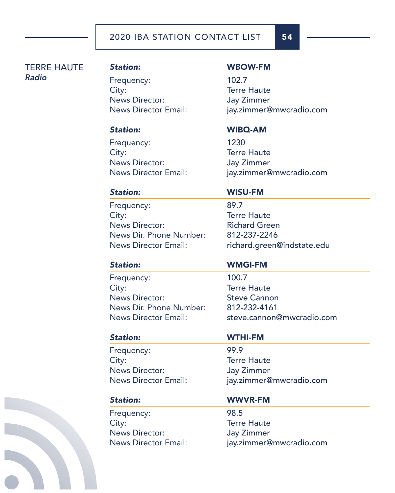TERRE HAUTE *Radio*

# *Station:* WBOW-FM Frequency: 102.7 City: Terre Haute News Director: Jay Zimmer

News Director Email: jay.zimmer@mwcradio.com

# *Station:* WIBQ-AM

Frequency: 1230 City: Terre Haute News Director: Jay Zimmer News Director Email: jay.zimmer@mwcradio.com

Frequency: 89.7 City: Terre Haute News Director: Richard Green News Dir. Phone Number: 812-237-2246

Frequency: 100.7 City: Terre Haute News Director: Steve Cannon News Dir. Phone Number: 812-232-4161

Frequency: 99.9 City: Terre Haute News Director: Jay Zimmer

Frequency: 98.5 City: Terre Haute News Director: Jay Zimmer

# *Station:* WISU-FM

News Director Email: richard.green@indstate.edu

# *Station:* WMGI-FM

News Director Email: steve.cannon@mwcradio.com

# *Station:* WTHI-FM

News Director Email: jay.zimmer@mwcradio.com

# *Station:* WWVR-FM

News Director Email: jay.zimmer@mwcradio.com

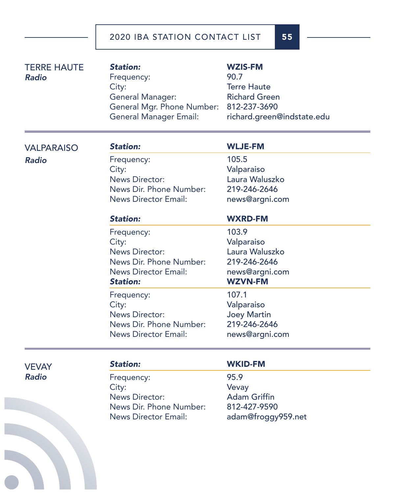| <b>TERRE HAUTE</b><br><b>Radio</b> | <b>Station:</b><br>Frequency:<br>City:<br>General Manager:<br>General Mgr. Phone Number:<br><b>General Manager Email:</b> | <b>WZIS-FM</b><br>90.7<br><b>Terre Haute</b><br><b>Richard Green</b><br>812-237-3690<br>richard.green@indstate.edu |
|------------------------------------|---------------------------------------------------------------------------------------------------------------------------|--------------------------------------------------------------------------------------------------------------------|
| <b>VALPARAISO</b>                  | <b>Station:</b>                                                                                                           | <b>WLJE-FM</b>                                                                                                     |
| <b>Radio</b>                       | Frequency:<br>City:<br><b>News Director:</b><br>News Dir. Phone Number:<br><b>News Director Email:</b>                    | 105.5<br>Valparaiso<br>Laura Waluszko<br>219-246-2646<br>news@argni.com                                            |
|                                    | <b>Station:</b>                                                                                                           | <b>WXRD-FM</b>                                                                                                     |
|                                    | Frequency:<br>City:<br><b>News Director:</b><br>News Dir. Phone Number:<br><b>News Director Email:</b><br><b>Station:</b> | 103.9<br>Valparaiso<br>Laura Waluszko<br>219-246-2646<br>news@argni.com<br><b>WZVN-FM</b>                          |
|                                    | Frequency:<br>City:<br><b>News Director:</b><br>News Dir. Phone Number:<br><b>News Director Email:</b>                    | 107.1<br>Valparaiso<br><b>Joey Martin</b><br>219-246-2646<br>news@argni.com                                        |
| <b>VEVAY</b>                       | <b>Station:</b>                                                                                                           | <b>WKID-FM</b>                                                                                                     |
| <b>Radio</b>                       | Frequency:                                                                                                                | 95.9                                                                                                               |

City:<br>
News Director:<br>
News Director:<br>
Adam Griffin News Director: Adam Griffin<br>News Dir. Phone Number: 812-427-9590 News Dir. Phone Number:<br>News Director Email:

adam@froggy959.net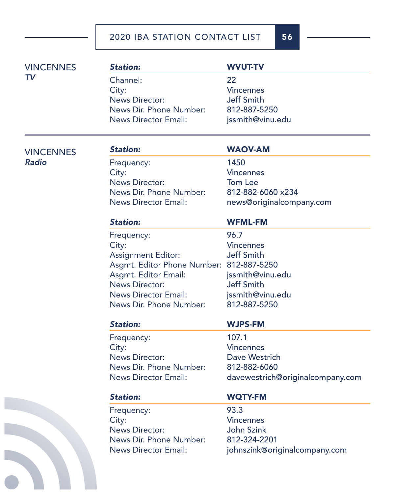|  | <b>VINCENNES</b>                 | <b>Station:</b>                          | <b>WVUT-TV</b>                   |
|--|----------------------------------|------------------------------------------|----------------------------------|
|  | TV                               | Channel:                                 | 22                               |
|  |                                  | City:                                    | <b>Vincennes</b>                 |
|  |                                  | <b>News Director:</b>                    | <b>Jeff Smith</b>                |
|  |                                  | News Dir. Phone Number:                  | 812-887-5250                     |
|  |                                  | <b>News Director Email:</b>              | jssmith@vinu.edu                 |
|  |                                  |                                          |                                  |
|  | <b>VINCENNES</b><br><b>Radio</b> | <b>Station:</b>                          | <b>WAOV-AM</b>                   |
|  |                                  | Frequency:                               | 1450                             |
|  |                                  | City:                                    | <b>Vincennes</b>                 |
|  |                                  | <b>News Director:</b>                    | Tom Lee                          |
|  |                                  | News Dir. Phone Number:                  | 812-882-6060 x234                |
|  |                                  | <b>News Director Email:</b>              | news@originalcompany.com         |
|  |                                  | <b>Station:</b>                          | <b>WFML-FM</b>                   |
|  |                                  | Frequency:                               | 96.7                             |
|  |                                  | City:                                    | <b>Vincennes</b>                 |
|  |                                  | <b>Assignment Editor:</b>                | <b>Jeff Smith</b>                |
|  |                                  | Asgmt. Editor Phone Number: 812-887-5250 |                                  |
|  |                                  | Asgmt. Editor Email:                     | jssmith@vinu.edu                 |
|  |                                  | <b>News Director:</b>                    | <b>Jeff Smith</b>                |
|  |                                  | <b>News Director Email:</b>              | jssmith@vinu.edu                 |
|  |                                  | News Dir. Phone Number:                  | 812-887-5250                     |
|  |                                  | <b>Station:</b>                          | <b>WJPS-FM</b>                   |
|  |                                  | Frequency:                               | 107.1                            |
|  |                                  | City:                                    | <b>Vincennes</b>                 |
|  |                                  | <b>News Director:</b>                    | Dave Westrich                    |
|  |                                  | News Dir. Phone Number:                  | 812-882-6060                     |
|  |                                  | <b>News Director Email:</b>              | davewestrich@originalcompany.com |
|  |                                  | <b>Station:</b>                          | <b>WQTY-FM</b>                   |
|  |                                  | Frequency:                               | 93.3                             |
|  |                                  | City:                                    | <b>Vincennes</b>                 |
|  |                                  | <b>News Director:</b>                    | <b>John Szink</b>                |
|  |                                  | News Dir. Phone Number:                  | 812-324-2201                     |
|  |                                  | <b>News Director Email:</b>              | johnszink@originalcompany.com    |
|  |                                  |                                          |                                  |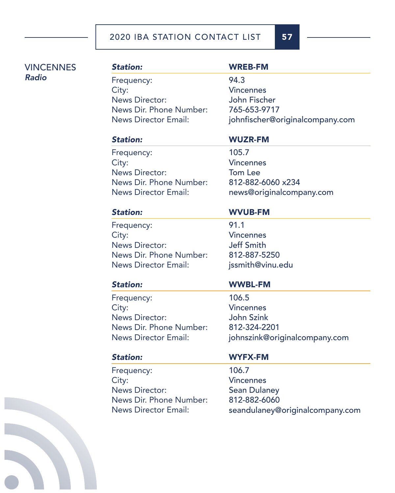| <b>VINCENNES</b> | <b>Station:</b>                | <b>WREB-FM</b>                    |
|------------------|--------------------------------|-----------------------------------|
| <b>Radio</b>     | Frequency:                     | 94.3                              |
|                  | City:                          | <b>Vincennes</b>                  |
|                  | <b>News Director:</b>          | John Fischer                      |
|                  | News Dir. Phone Number:        | 765-653-9717                      |
|                  | <b>News Director Email:</b>    | johnfischer@originalcompany.com   |
|                  | <b>Station:</b>                | <b>WUZR-FM</b>                    |
|                  | Frequency:                     | 105.7                             |
|                  | City:                          | <b>Vincennes</b>                  |
|                  | <b>News Director:</b>          | <b>Tom Lee</b>                    |
|                  | News Dir. Phone Number:        | 812-882-6060 x234                 |
|                  | <b>News Director Email:</b>    | news@originalcompany.com          |
|                  | <b>Station:</b>                | <b>WVUB-FM</b>                    |
|                  | Frequency:                     | 91.1                              |
|                  | City:                          | <b>Vincennes</b>                  |
|                  | <b>News Director:</b>          | <b>Jeff Smith</b>                 |
|                  | News Dir. Phone Number:        | 812-887-5250                      |
|                  | <b>News Director Email:</b>    | jssmith@vinu.edu                  |
|                  | <b>Station:</b>                | <b>WWBL-FM</b>                    |
|                  |                                |                                   |
|                  |                                | 106.5                             |
|                  | Frequency:                     | <b>Vincennes</b>                  |
|                  | City:<br><b>News Director:</b> |                                   |
|                  | News Dir. Phone Number:        | <b>John Szink</b><br>812-324-2201 |
|                  | <b>News Director Email:</b>    | johnszink@originalcompany.com     |
|                  | <b>Station:</b>                | <b>WYFX-FM</b>                    |
|                  | Frequency:                     | 106.7                             |
|                  | City:                          | <b>Vincennes</b>                  |
|                  | <b>News Director:</b>          | <b>Sean Dulaney</b>               |
|                  | News Dir. Phone Number:        | 812-882-6060                      |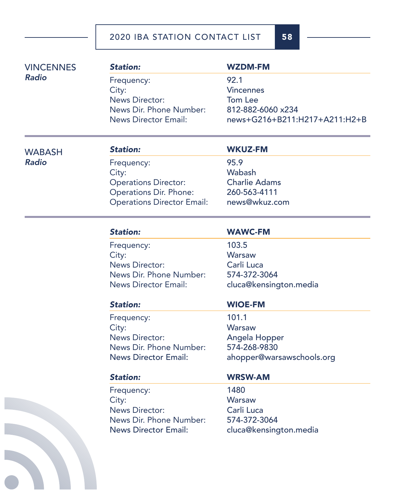| <b>VINCENNES</b> | <b>Station:</b>                   | <b>WZDM-FM</b>                |
|------------------|-----------------------------------|-------------------------------|
| <b>Radio</b>     | Frequency:                        | 92.1                          |
|                  | City:                             | <b>Vincennes</b>              |
|                  | <b>News Director:</b>             | <b>Tom Lee</b>                |
|                  | News Dir. Phone Number:           | 812-882-6060 x234             |
|                  | <b>News Director Email:</b>       | news+G216+B211:H217+A211:H2+B |
| <b>WABASH</b>    | <b>Station:</b>                   | <b>WKUZ-FM</b>                |
| <b>Radio</b>     | Frequency:                        | 95.9                          |
|                  | City:                             | Wabash                        |
|                  | <b>Operations Director:</b>       | <b>Charlie Adams</b>          |
|                  | Operations Dir. Phone:            | 260-563-4111                  |
|                  | <b>Operations Director Email:</b> | news@wkuz.com                 |
|                  | <b>Station:</b>                   | <b>WAWC-FM</b>                |
|                  | Frequency:                        | 103.5                         |
|                  | City:                             | <b>Warsaw</b>                 |
|                  | <b>News Director:</b>             | Carli Luca                    |
|                  | News Dir. Phone Number:           | 574-372-3064                  |
|                  | <b>News Director Email:</b>       | cluca@kensington.media        |
|                  | <b>Station:</b>                   | <b>WIOE-FM</b>                |
|                  | Frequency:                        | 101.1                         |
|                  | City:                             | Warsaw                        |
|                  | <b>News Director:</b>             | Angela Hopper                 |
|                  | News Dir. Phone Number:           | 574-268-9830                  |
|                  | <b>News Director Email:</b>       | ahopper@warsawschools.org     |
|                  | <b>Station:</b>                   | <b>WRSW-AM</b>                |
|                  | Frequency:                        | 1480                          |
|                  | City:                             | Warsaw                        |
|                  | <b>News Director:</b>             | Carli Luca                    |
|                  | News Dir. Phone Number:           | 574-372-3064                  |
|                  | <b>News Director Email:</b>       | cluca@kensington.media        |
|                  |                                   |                               |
|                  |                                   |                               |